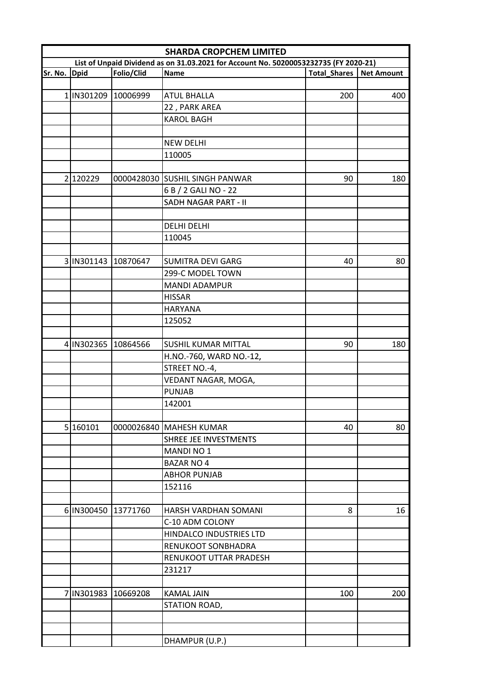|                                                                                      | <b>SHARDA CROPCHEM LIMITED</b> |            |                                |                     |                   |  |  |  |
|--------------------------------------------------------------------------------------|--------------------------------|------------|--------------------------------|---------------------|-------------------|--|--|--|
| List of Unpaid Dividend as on 31.03.2021 for Account No. 50200053232735 (FY 2020-21) |                                |            |                                |                     |                   |  |  |  |
| Sr. No. Dpid                                                                         |                                | Folio/Clid | Name                           | <b>Total_Shares</b> | <b>Net Amount</b> |  |  |  |
|                                                                                      |                                |            |                                |                     |                   |  |  |  |
|                                                                                      | 1 IN301209 10006999            |            | <b>ATUL BHALLA</b>             | 200                 | 400               |  |  |  |
|                                                                                      |                                |            | 22, PARK AREA                  |                     |                   |  |  |  |
|                                                                                      |                                |            | <b>KAROL BAGH</b>              |                     |                   |  |  |  |
|                                                                                      |                                |            |                                |                     |                   |  |  |  |
|                                                                                      |                                |            | <b>NEW DELHI</b>               |                     |                   |  |  |  |
|                                                                                      |                                |            | 110005                         |                     |                   |  |  |  |
|                                                                                      |                                |            |                                |                     |                   |  |  |  |
|                                                                                      | 2 120229                       |            | 0000428030 SUSHIL SINGH PANWAR | 90                  | 180               |  |  |  |
|                                                                                      |                                |            | 6 B / 2 GALI NO - 22           |                     |                   |  |  |  |
|                                                                                      |                                |            | SADH NAGAR PART - II           |                     |                   |  |  |  |
|                                                                                      |                                |            |                                |                     |                   |  |  |  |
|                                                                                      |                                |            | <b>DELHI DELHI</b>             |                     |                   |  |  |  |
|                                                                                      |                                |            | 110045                         |                     |                   |  |  |  |
|                                                                                      |                                |            |                                |                     |                   |  |  |  |
|                                                                                      | 3 IN301143 10870647            |            | <b>SUMITRA DEVI GARG</b>       | 40                  | 80                |  |  |  |
|                                                                                      |                                |            | 299-C MODEL TOWN               |                     |                   |  |  |  |
|                                                                                      |                                |            | MANDI ADAMPUR                  |                     |                   |  |  |  |
|                                                                                      |                                |            | <b>HISSAR</b>                  |                     |                   |  |  |  |
|                                                                                      |                                |            | <b>HARYANA</b>                 |                     |                   |  |  |  |
|                                                                                      |                                |            | 125052                         |                     |                   |  |  |  |
|                                                                                      |                                |            |                                |                     |                   |  |  |  |
|                                                                                      | 4 IN302365                     | 10864566   | SUSHIL KUMAR MITTAL            | 90                  | 180               |  |  |  |
|                                                                                      |                                |            | H.NO.-760, WARD NO.-12,        |                     |                   |  |  |  |
|                                                                                      |                                |            | STREET NO.-4,                  |                     |                   |  |  |  |
|                                                                                      |                                |            | VEDANT NAGAR, MOGA,            |                     |                   |  |  |  |
|                                                                                      |                                |            | <b>PUNJAB</b>                  |                     |                   |  |  |  |
|                                                                                      |                                |            | 142001                         |                     |                   |  |  |  |
|                                                                                      |                                |            |                                |                     |                   |  |  |  |
|                                                                                      | 5 160101                       |            | 0000026840 MAHESH KUMAR        | 40                  | 80                |  |  |  |
|                                                                                      |                                |            | SHREE JEE INVESTMENTS          |                     |                   |  |  |  |
|                                                                                      |                                |            | <b>MANDI NO 1</b>              |                     |                   |  |  |  |
|                                                                                      |                                |            |                                |                     |                   |  |  |  |
|                                                                                      |                                |            | <b>BAZAR NO 4</b>              |                     |                   |  |  |  |
|                                                                                      |                                |            | <b>ABHOR PUNJAB</b>            |                     |                   |  |  |  |
|                                                                                      |                                |            | 152116                         |                     |                   |  |  |  |
|                                                                                      |                                |            |                                |                     |                   |  |  |  |
|                                                                                      | 6 IN300450 13771760            |            | HARSH VARDHAN SOMANI           | 8                   | 16                |  |  |  |
|                                                                                      |                                |            | C-10 ADM COLONY                |                     |                   |  |  |  |
|                                                                                      |                                |            | HINDALCO INDUSTRIES LTD        |                     |                   |  |  |  |
|                                                                                      |                                |            | RENUKOOT SONBHADRA             |                     |                   |  |  |  |
|                                                                                      |                                |            | RENUKOOT UTTAR PRADESH         |                     |                   |  |  |  |
|                                                                                      |                                |            | 231217                         |                     |                   |  |  |  |
|                                                                                      |                                |            |                                |                     |                   |  |  |  |
|                                                                                      | 7 IN301983 10669208            |            | <b>KAMAL JAIN</b>              | 100                 | 200               |  |  |  |
|                                                                                      |                                |            | STATION ROAD,                  |                     |                   |  |  |  |
|                                                                                      |                                |            |                                |                     |                   |  |  |  |
|                                                                                      |                                |            |                                |                     |                   |  |  |  |
|                                                                                      |                                |            | DHAMPUR (U.P.)                 |                     |                   |  |  |  |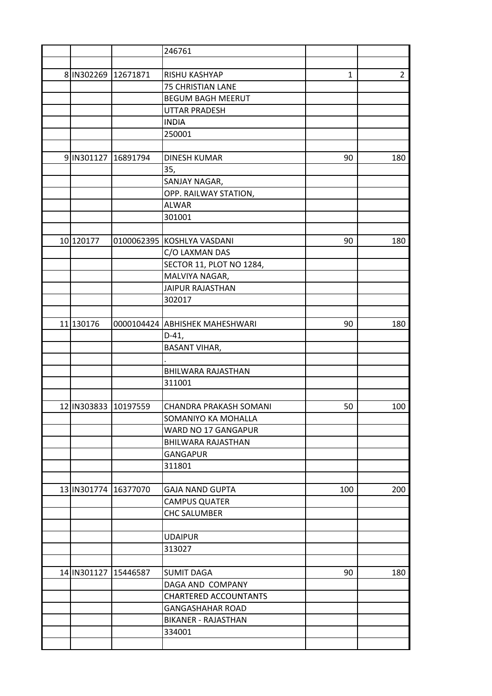|                      | 246761                         |              |                |
|----------------------|--------------------------------|--------------|----------------|
|                      |                                |              |                |
| 8 IN302269 12671871  | RISHU KASHYAP                  | $\mathbf{1}$ | $\overline{2}$ |
|                      | 75 CHRISTIAN LANE              |              |                |
|                      | <b>BEGUM BAGH MEERUT</b>       |              |                |
|                      | <b>UTTAR PRADESH</b>           |              |                |
|                      | <b>INDIA</b>                   |              |                |
|                      | 250001                         |              |                |
|                      |                                |              |                |
| 9 IN301127 16891794  | <b>DINESH KUMAR</b>            | 90           | 180            |
|                      | 35,                            |              |                |
|                      | SANJAY NAGAR,                  |              |                |
|                      | OPP. RAILWAY STATION,          |              |                |
|                      | <b>ALWAR</b>                   |              |                |
|                      | 301001                         |              |                |
|                      |                                |              |                |
| 10 120177            | 0100062395 KOSHLYA VASDANI     | 90           | 180            |
|                      | C/O LAXMAN DAS                 |              |                |
|                      | SECTOR 11, PLOT NO 1284,       |              |                |
|                      | MALVIYA NAGAR,                 |              |                |
|                      | <b>JAIPUR RAJASTHAN</b>        |              |                |
|                      |                                |              |                |
|                      | 302017                         |              |                |
|                      |                                |              |                |
| 11 130176            | 0000104424 ABHISHEK MAHESHWARI | 90           | 180            |
|                      | $D-41,$                        |              |                |
|                      | <b>BASANT VIHAR,</b>           |              |                |
|                      |                                |              |                |
|                      | BHILWARA RAJASTHAN             |              |                |
|                      | 311001                         |              |                |
|                      |                                |              |                |
| 12 IN303833 10197559 | CHANDRA PRAKASH SOMANI         | 50           | 100            |
|                      | SOMANIYO KA MOHALLA            |              |                |
|                      | WARD NO 17 GANGAPUR            |              |                |
|                      | BHILWARA RAJASTHAN             |              |                |
|                      | <b>GANGAPUR</b>                |              |                |
|                      | 311801                         |              |                |
|                      |                                |              |                |
| 13 IN301774 16377070 | <b>GAJA NAND GUPTA</b>         | 100          | 200            |
|                      | <b>CAMPUS QUATER</b>           |              |                |
|                      | <b>CHC SALUMBER</b>            |              |                |
|                      |                                |              |                |
|                      | <b>UDAIPUR</b>                 |              |                |
|                      | 313027                         |              |                |
|                      |                                |              |                |
| 14 IN301127 15446587 | <b>SUMIT DAGA</b>              | 90           | 180            |
|                      | DAGA AND COMPANY               |              |                |
|                      | <b>CHARTERED ACCOUNTANTS</b>   |              |                |
|                      | <b>GANGASHAHAR ROAD</b>        |              |                |
|                      | BIKANER - RAJASTHAN            |              |                |
|                      | 334001                         |              |                |
|                      |                                |              |                |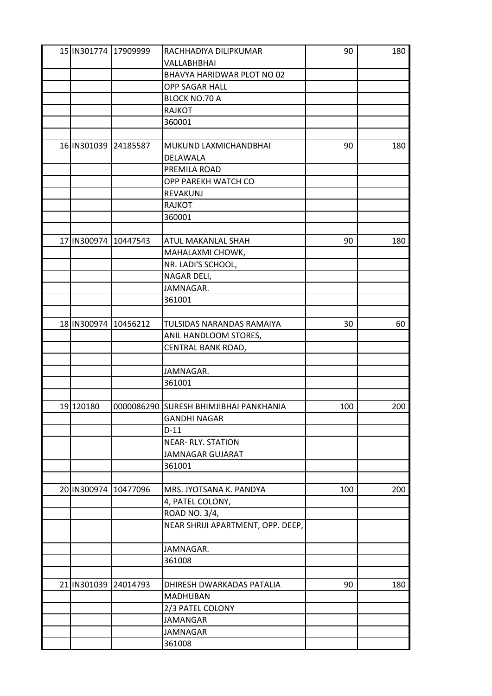| 15 IN301774 17909999  | RACHHADIYA DILIPKUMAR                  | 90  | 180 |
|-----------------------|----------------------------------------|-----|-----|
|                       | VALLABHBHAI                            |     |     |
|                       | BHAVYA HARIDWAR PLOT NO 02             |     |     |
|                       | OPP SAGAR HALL                         |     |     |
|                       | <b>BLOCK NO.70 A</b>                   |     |     |
|                       | <b>RAJKOT</b>                          |     |     |
|                       | 360001                                 |     |     |
|                       |                                        |     |     |
| 16 IN301039 24185587  | MUKUND LAXMICHANDBHAI                  | 90  | 180 |
|                       | DELAWALA                               |     |     |
|                       | PREMILA ROAD                           |     |     |
|                       | OPP PAREKH WATCH CO                    |     |     |
|                       | REVAKUNJ                               |     |     |
|                       | <b>RAJKOT</b>                          |     |     |
|                       | 360001                                 |     |     |
|                       |                                        |     |     |
| 17 IN300974 10447543  | ATUL MAKANLAL SHAH                     | 90  | 180 |
|                       | MAHALAXMI CHOWK,                       |     |     |
|                       | NR. LADI'S SCHOOL,                     |     |     |
|                       | NAGAR DELI,                            |     |     |
|                       | JAMNAGAR.                              |     |     |
|                       | 361001                                 |     |     |
|                       |                                        |     |     |
| 18 IN 300974 10456212 | TULSIDAS NARANDAS RAMAIYA              | 30  | 60  |
|                       | ANIL HANDLOOM STORES,                  |     |     |
|                       | CENTRAL BANK ROAD,                     |     |     |
|                       |                                        |     |     |
|                       | JAMNAGAR.                              |     |     |
|                       | 361001                                 |     |     |
|                       |                                        |     |     |
| 19 120180             | 0000086290 SURESH BHIMJIBHAI PANKHANIA | 100 | 200 |
|                       | GANDHI NAGAR                           |     |     |
|                       | $D-11$                                 |     |     |
|                       | <b>NEAR-RLY. STATION</b>               |     |     |
|                       |                                        |     |     |
|                       | <b>JAMNAGAR GUJARAT</b>                |     |     |
|                       | 361001                                 |     |     |
| 20 IN300974 10477096  |                                        | 100 | 200 |
|                       | MRS. JYOTSANA K. PANDYA                |     |     |
|                       | 4, PATEL COLONY,                       |     |     |
|                       | ROAD NO. 3/4,                          |     |     |
|                       | NEAR SHRIJI APARTMENT, OPP. DEEP,      |     |     |
|                       |                                        |     |     |
|                       | JAMNAGAR.                              |     |     |
|                       | 361008                                 |     |     |
|                       |                                        |     |     |
| 21 IN301039 24014793  | DHIRESH DWARKADAS PATALIA              | 90  | 180 |
|                       | <b>MADHUBAN</b>                        |     |     |
|                       | 2/3 PATEL COLONY                       |     |     |
|                       | <b>JAMANGAR</b>                        |     |     |
|                       | JAMNAGAR                               |     |     |
|                       | 361008                                 |     |     |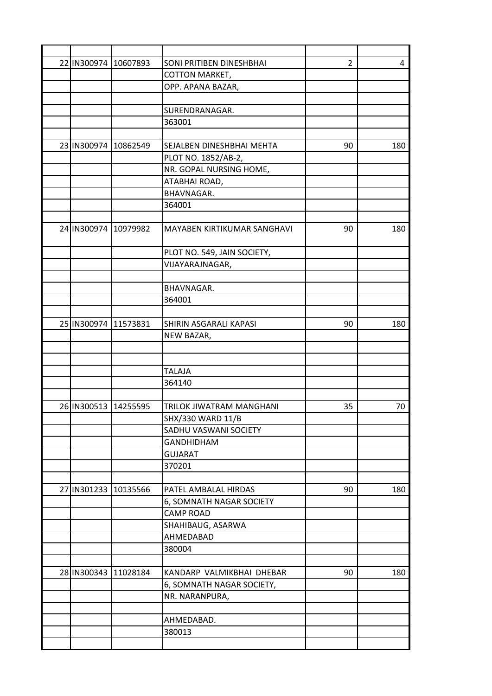| 22 IN300974 10607893 |          | SONI PRITIBEN DINESHBHAI    | $\overline{2}$ | 4   |
|----------------------|----------|-----------------------------|----------------|-----|
|                      |          | <b>COTTON MARKET,</b>       |                |     |
|                      |          | OPP. APANA BAZAR,           |                |     |
|                      |          |                             |                |     |
|                      |          | SURENDRANAGAR.              |                |     |
|                      |          | 363001                      |                |     |
|                      |          |                             |                |     |
| 23 IN300974 10862549 |          | SEJALBEN DINESHBHAI MEHTA   | 90             | 180 |
|                      |          | PLOT NO. 1852/AB-2,         |                |     |
|                      |          | NR. GOPAL NURSING HOME,     |                |     |
|                      |          | ATABHAI ROAD,               |                |     |
|                      |          | BHAVNAGAR.                  |                |     |
|                      |          | 364001                      |                |     |
|                      |          |                             |                |     |
| 24 IN300974 10979982 |          | MAYABEN KIRTIKUMAR SANGHAVI | 90             | 180 |
|                      |          | PLOT NO. 549, JAIN SOCIETY, |                |     |
|                      |          | VIJAYARAJNAGAR,             |                |     |
|                      |          |                             |                |     |
|                      |          |                             |                |     |
|                      |          | BHAVNAGAR.                  |                |     |
|                      |          | 364001                      |                |     |
|                      |          |                             |                |     |
| 25 IN300974 11573831 |          | SHIRIN ASGARALI KAPASI      | 90             | 180 |
|                      |          | NEW BAZAR,                  |                |     |
|                      |          |                             |                |     |
|                      |          |                             |                |     |
|                      |          | <b>TALAJA</b>               |                |     |
|                      |          | 364140                      |                |     |
|                      |          |                             |                |     |
| 26 IN300513 14255595 |          | TRILOK JIWATRAM MANGHANI    | 35             | 70  |
|                      |          | SHX/330 WARD 11/B           |                |     |
|                      |          | SADHU VASWANI SOCIETY       |                |     |
|                      |          | <b>GANDHIDHAM</b>           |                |     |
|                      |          | <b>GUJARAT</b>              |                |     |
|                      |          | 370201                      |                |     |
|                      |          |                             |                |     |
| 27 IN301233          | 10135566 | PATEL AMBALAL HIRDAS        | 90             | 180 |
|                      |          | 6, SOMNATH NAGAR SOCIETY    |                |     |
|                      |          | <b>CAMP ROAD</b>            |                |     |
|                      |          | SHAHIBAUG, ASARWA           |                |     |
|                      |          | AHMEDABAD                   |                |     |
|                      |          | 380004                      |                |     |
|                      |          |                             |                |     |
| 28 IN300343 11028184 |          | KANDARP VALMIKBHAI DHEBAR   | 90             | 180 |
|                      |          | 6, SOMNATH NAGAR SOCIETY,   |                |     |
|                      |          | NR. NARANPURA,              |                |     |
|                      |          |                             |                |     |
|                      |          | AHMEDABAD.                  |                |     |
|                      |          | 380013                      |                |     |
|                      |          |                             |                |     |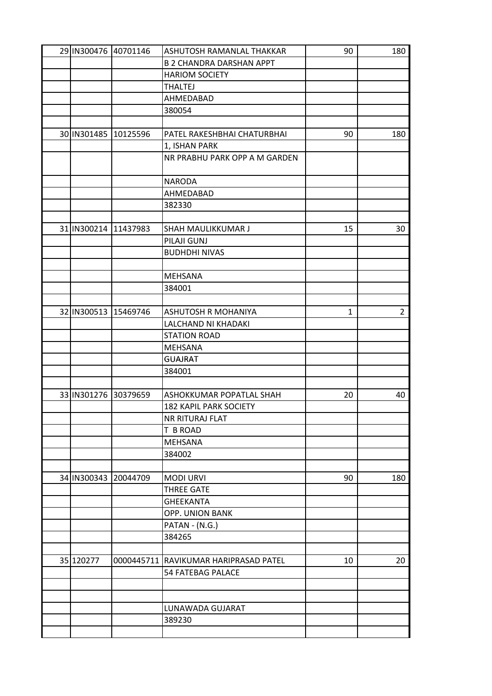|                      | 29 IN300476 40701146 | ASHUTOSH RAMANLAL THAKKAR             | 90           | 180            |
|----------------------|----------------------|---------------------------------------|--------------|----------------|
|                      |                      | <b>B 2 CHANDRA DARSHAN APPT</b>       |              |                |
|                      |                      | <b>HARIOM SOCIETY</b>                 |              |                |
|                      |                      | <b>THALTEJ</b>                        |              |                |
|                      |                      | AHMEDABAD                             |              |                |
|                      |                      | 380054                                |              |                |
|                      |                      |                                       |              |                |
|                      | 30 IN301485 10125596 | PATEL RAKESHBHAI CHATURBHAI           | 90           | 180            |
|                      |                      | 1, ISHAN PARK                         |              |                |
|                      |                      | NR PRABHU PARK OPP A M GARDEN         |              |                |
|                      |                      |                                       |              |                |
|                      |                      | <b>NARODA</b>                         |              |                |
|                      |                      | AHMEDABAD                             |              |                |
|                      |                      | 382330                                |              |                |
|                      |                      |                                       |              |                |
| 31 IN300214 11437983 |                      | SHAH MAULIKKUMAR J                    | 15           | 30             |
|                      |                      | PILAJI GUNJ                           |              |                |
|                      |                      | <b>BUDHDHI NIVAS</b>                  |              |                |
|                      |                      |                                       |              |                |
|                      |                      | <b>MEHSANA</b>                        |              |                |
|                      |                      | 384001                                |              |                |
|                      |                      |                                       |              |                |
|                      |                      |                                       |              |                |
|                      | 32 IN300513 15469746 | <b>ASHUTOSH R MOHANIYA</b>            | $\mathbf{1}$ | $\overline{2}$ |
|                      |                      | LALCHAND NI KHADAKI                   |              |                |
|                      |                      | <b>STATION ROAD</b>                   |              |                |
|                      |                      | MEHSANA                               |              |                |
|                      |                      | <b>GUAJRAT</b>                        |              |                |
|                      |                      | 384001                                |              |                |
|                      |                      |                                       |              |                |
| 33 IN301276 30379659 |                      | ASHOKKUMAR POPATLAL SHAH              | 20           | 40             |
|                      |                      | <b>182 KAPIL PARK SOCIETY</b>         |              |                |
|                      |                      | NR RITURAJ FLAT                       |              |                |
|                      |                      | T B ROAD                              |              |                |
|                      |                      | MEHSANA                               |              |                |
|                      |                      | 384002                                |              |                |
|                      |                      |                                       |              |                |
|                      | 34 IN300343 20044709 | <b>MODI URVI</b>                      | 90           | 180            |
|                      |                      | <b>THREE GATE</b>                     |              |                |
|                      |                      | <b>GHEEKANTA</b>                      |              |                |
|                      |                      | OPP. UNION BANK                       |              |                |
|                      |                      | PATAN - (N.G.)                        |              |                |
|                      |                      | 384265                                |              |                |
|                      |                      |                                       |              |                |
| 35 120277            |                      | 0000445711 RAVIKUMAR HARIPRASAD PATEL | 10           | 20             |
|                      |                      | 54 FATEBAG PALACE                     |              |                |
|                      |                      |                                       |              |                |
|                      |                      |                                       |              |                |
|                      |                      | LUNAWADA GUJARAT                      |              |                |
|                      |                      | 389230                                |              |                |
|                      |                      |                                       |              |                |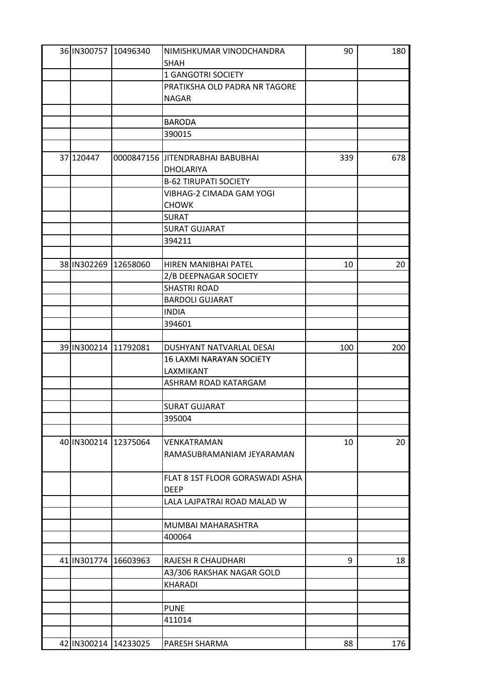| 36 IN300757 10496340     |                      | NIMISHKUMAR VINODCHANDRA         | 90  | 180 |
|--------------------------|----------------------|----------------------------------|-----|-----|
|                          |                      | <b>SHAH</b>                      |     |     |
|                          |                      | <b>1 GANGOTRI SOCIETY</b>        |     |     |
|                          |                      | PRATIKSHA OLD PADRA NR TAGORE    |     |     |
|                          |                      | <b>NAGAR</b>                     |     |     |
|                          |                      |                                  |     |     |
|                          |                      | <b>BARODA</b>                    |     |     |
|                          |                      | 390015                           |     |     |
|                          |                      |                                  |     |     |
| 37 120447                |                      | 0000847156 JITENDRABHAI BABUBHAI | 339 | 678 |
|                          |                      |                                  |     |     |
|                          |                      | <b>DHOLARIYA</b>                 |     |     |
|                          |                      | <b>B-62 TIRUPATI SOCIETY</b>     |     |     |
|                          |                      | VIBHAG-2 CIMADA GAM YOGI         |     |     |
|                          |                      | <b>CHOWK</b>                     |     |     |
|                          |                      | <b>SURAT</b>                     |     |     |
|                          |                      | <b>SURAT GUJARAT</b>             |     |     |
|                          |                      | 394211                           |     |     |
|                          |                      |                                  |     |     |
| 38 IN 302269 12658060    |                      | HIREN MANIBHAI PATEL             | 10  | 20  |
|                          |                      | 2/B DEEPNAGAR SOCIETY            |     |     |
|                          |                      | <b>SHASTRI ROAD</b>              |     |     |
|                          |                      | <b>BARDOLI GUJARAT</b>           |     |     |
|                          |                      | <b>INDIA</b>                     |     |     |
|                          |                      | 394601                           |     |     |
|                          |                      |                                  |     |     |
| 39 IN300214 11792081     |                      | DUSHYANT NATVARLAL DESAI         | 100 | 200 |
|                          |                      | 16 LAXMI NARAYAN SOCIETY         |     |     |
|                          |                      | LAXMIKANT                        |     |     |
|                          |                      | ASHRAM ROAD KATARGAM             |     |     |
|                          |                      |                                  |     |     |
|                          |                      | <b>SURAT GUJARAT</b>             |     |     |
|                          |                      |                                  |     |     |
|                          |                      | 395004                           |     |     |
|                          |                      |                                  |     |     |
|                          | 40 IN300214 12375064 | VENKATRAMAN                      | 10  | 20  |
|                          |                      | RAMASUBRAMANIAM JEYARAMAN        |     |     |
|                          |                      |                                  |     |     |
|                          |                      | FLAT 8 1ST FLOOR GORASWADI ASHA  |     |     |
|                          |                      | <b>DEEP</b>                      |     |     |
|                          |                      | LALA LAJPATRAI ROAD MALAD W      |     |     |
|                          |                      |                                  |     |     |
|                          |                      | MUMBAI MAHARASHTRA               |     |     |
|                          |                      | 400064                           |     |     |
|                          |                      |                                  |     |     |
| 41   IN301774   16603963 |                      | RAJESH R CHAUDHARI               | 9   | 18  |
|                          |                      | A3/306 RAKSHAK NAGAR GOLD        |     |     |
|                          |                      | <b>KHARADI</b>                   |     |     |
|                          |                      |                                  |     |     |
|                          |                      | <b>PUNE</b>                      |     |     |
|                          |                      | 411014                           |     |     |
|                          |                      |                                  |     |     |
|                          | 42 IN300214 14233025 | PARESH SHARMA                    | 88  | 176 |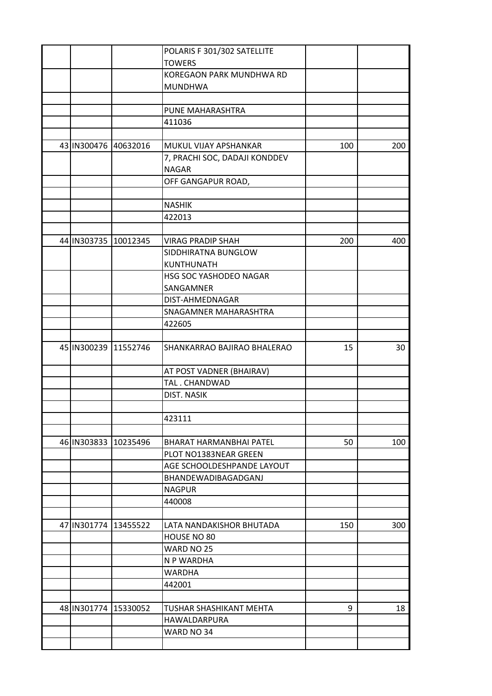|                      |                      | POLARIS F 301/302 SATELLITE   |     |     |
|----------------------|----------------------|-------------------------------|-----|-----|
|                      |                      | <b>TOWERS</b>                 |     |     |
|                      |                      | KOREGAON PARK MUNDHWA RD      |     |     |
|                      |                      | <b>MUNDHWA</b>                |     |     |
|                      |                      |                               |     |     |
|                      |                      | PUNE MAHARASHTRA              |     |     |
|                      |                      | 411036                        |     |     |
|                      |                      |                               |     |     |
| 43 IN300476 40632016 |                      | MUKUL VIJAY APSHANKAR         | 100 | 200 |
|                      |                      | 7, PRACHI SOC, DADAJI KONDDEV |     |     |
|                      |                      | <b>NAGAR</b>                  |     |     |
|                      |                      | OFF GANGAPUR ROAD,            |     |     |
|                      |                      |                               |     |     |
|                      |                      | <b>NASHIK</b>                 |     |     |
|                      |                      | 422013                        |     |     |
|                      |                      |                               |     |     |
| 44 IN303735 10012345 |                      | <b>VIRAG PRADIP SHAH</b>      | 200 | 400 |
|                      |                      | SIDDHIRATNA BUNGLOW           |     |     |
|                      |                      | <b>KUNTHUNATH</b>             |     |     |
|                      |                      | HSG SOC YASHODEO NAGAR        |     |     |
|                      |                      |                               |     |     |
|                      |                      | SANGAMNER                     |     |     |
|                      |                      | DIST-AHMEDNAGAR               |     |     |
|                      |                      | SNAGAMNER MAHARASHTRA         |     |     |
|                      |                      | 422605                        |     |     |
|                      |                      |                               |     |     |
|                      | 45 IN300239 11552746 | SHANKARRAO BAJIRAO BHALERAO   | 15  | 30  |
|                      |                      |                               |     |     |
|                      |                      | AT POST VADNER (BHAIRAV)      |     |     |
|                      |                      | TAL. CHANDWAD                 |     |     |
|                      |                      | DIST. NASIK                   |     |     |
|                      |                      |                               |     |     |
|                      |                      | 423111                        |     |     |
|                      |                      |                               |     |     |
| 46 IN303833 10235496 |                      | BHARAT HARMANBHAI PATEL       | 50  | 100 |
|                      |                      | PLOT NO1383NEAR GREEN         |     |     |
|                      |                      | AGE SCHOOLDESHPANDE LAYOUT    |     |     |
|                      |                      | BHANDEWADIBAGADGANJ           |     |     |
|                      |                      | <b>NAGPUR</b>                 |     |     |
|                      |                      | 440008                        |     |     |
|                      |                      |                               |     |     |
| 47 IN301774 13455522 |                      | LATA NANDAKISHOR BHUTADA      | 150 | 300 |
|                      |                      | HOUSE NO 80                   |     |     |
|                      |                      | WARD NO 25                    |     |     |
|                      |                      | N P WARDHA                    |     |     |
|                      |                      | <b>WARDHA</b>                 |     |     |
|                      |                      | 442001                        |     |     |
|                      |                      |                               |     |     |
| 48 IN301774 15330052 |                      | TUSHAR SHASHIKANT MEHTA       | 9   | 18  |
|                      |                      | HAWALDARPURA                  |     |     |
|                      |                      | WARD NO 34                    |     |     |
|                      |                      |                               |     |     |
|                      |                      |                               |     |     |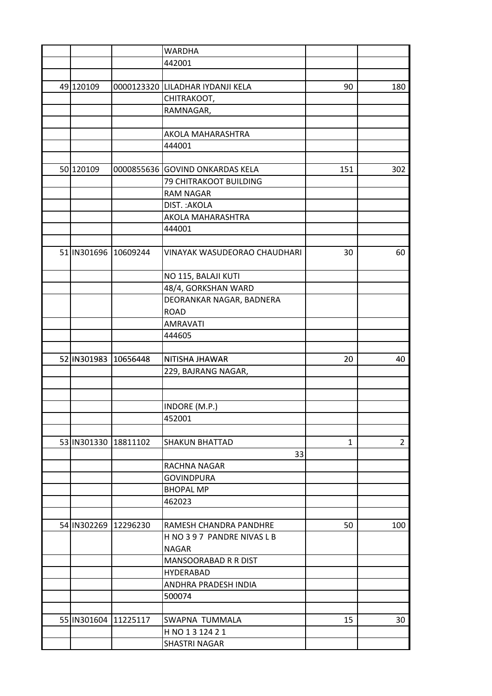|                      | <b>WARDHA</b>                    |              |                |
|----------------------|----------------------------------|--------------|----------------|
|                      | 442001                           |              |                |
|                      |                                  |              |                |
| 49 120109            | 0000123320 LILADHAR IYDANJI KELA | 90           | 180            |
|                      | CHITRAKOOT,                      |              |                |
|                      | RAMNAGAR,                        |              |                |
|                      |                                  |              |                |
|                      | AKOLA MAHARASHTRA                |              |                |
|                      | 444001                           |              |                |
|                      |                                  |              |                |
| 50 120109            | 0000855636 GOVIND ONKARDAS KELA  | 151          | 302            |
|                      | 79 CHITRAKOOT BUILDING           |              |                |
|                      | RAM NAGAR                        |              |                |
|                      | DIST.: AKOLA                     |              |                |
|                      | AKOLA MAHARASHTRA                |              |                |
|                      | 444001                           |              |                |
|                      |                                  |              |                |
| 51 IN301696 10609244 | VINAYAK WASUDEORAO CHAUDHARI     | 30           | 60             |
|                      |                                  |              |                |
|                      |                                  |              |                |
|                      | NO 115, BALAJI KUTI              |              |                |
|                      | 48/4, GORKSHAN WARD              |              |                |
|                      | DEORANKAR NAGAR, BADNERA         |              |                |
|                      | <b>ROAD</b>                      |              |                |
|                      | <b>AMRAVATI</b>                  |              |                |
|                      | 444605                           |              |                |
|                      |                                  |              |                |
| 52 IN301983 10656448 | NITISHA JHAWAR                   | 20           | 40             |
|                      | 229, BAJRANG NAGAR,              |              |                |
|                      |                                  |              |                |
|                      |                                  |              |                |
|                      | INDORE (M.P.)                    |              |                |
|                      | 452001                           |              |                |
|                      |                                  |              |                |
| 53 IN301330 18811102 | <b>SHAKUN BHATTAD</b>            | $\mathbf{1}$ | 2 <sup>7</sup> |
|                      | 33                               |              |                |
|                      | RACHNA NAGAR                     |              |                |
|                      | <b>GOVINDPURA</b>                |              |                |
|                      | <b>BHOPAL MP</b>                 |              |                |
|                      | 462023                           |              |                |
|                      |                                  |              |                |
| 54 IN302269 12296230 | RAMESH CHANDRA PANDHRE           | 50           | 100            |
|                      | H NO 397 PANDRE NIVAS L B        |              |                |
|                      | <b>NAGAR</b>                     |              |                |
|                      | MANSOORABAD R R DIST             |              |                |
|                      | <b>HYDERABAD</b>                 |              |                |
|                      | ANDHRA PRADESH INDIA             |              |                |
|                      | 500074                           |              |                |
|                      |                                  |              |                |
| 55 IN301604 11225117 | SWAPNA TUMMALA                   | 15           | 30             |
|                      | H NO 1 3 124 2 1                 |              |                |
|                      | SHASTRI NAGAR                    |              |                |
|                      |                                  |              |                |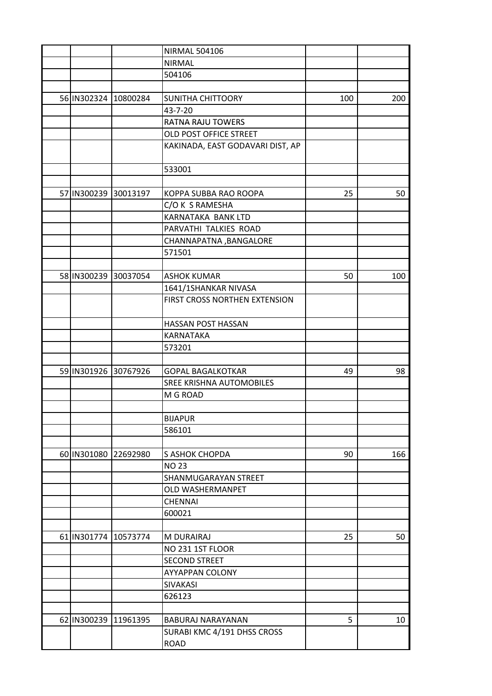|                      | <b>NIRMAL 504106</b>             |     |     |
|----------------------|----------------------------------|-----|-----|
|                      | <b>NIRMAL</b>                    |     |     |
|                      | 504106                           |     |     |
|                      |                                  |     |     |
| 56 IN302324 10800284 | <b>SUNITHA CHITTOORY</b>         | 100 | 200 |
|                      | 43-7-20                          |     |     |
|                      | RATNA RAJU TOWERS                |     |     |
|                      | OLD POST OFFICE STREET           |     |     |
|                      | KAKINADA, EAST GODAVARI DIST, AP |     |     |
|                      |                                  |     |     |
|                      | 533001                           |     |     |
|                      |                                  |     |     |
| 57 IN300239 30013197 | KOPPA SUBBA RAO ROOPA            | 25  | 50  |
|                      | C/O K S RAMESHA                  |     |     |
|                      | KARNATAKA BANK LTD               |     |     |
|                      | PARVATHI TALKIES ROAD            |     |     |
|                      | CHANNAPATNA , BANGALORE          |     |     |
|                      | 571501                           |     |     |
|                      |                                  |     |     |
| 58 IN300239 30037054 | <b>ASHOK KUMAR</b>               | 50  | 100 |
|                      | 1641/1SHANKAR NIVASA             |     |     |
|                      | FIRST CROSS NORTHEN EXTENSION    |     |     |
|                      |                                  |     |     |
|                      | HASSAN POST HASSAN               |     |     |
|                      | KARNATAKA                        |     |     |
|                      | 573201                           |     |     |
|                      |                                  |     |     |
| 59 IN301926 30767926 | <b>GOPAL BAGALKOTKAR</b>         | 49  | 98  |
|                      | SREE KRISHNA AUTOMOBILES         |     |     |
|                      | M G ROAD                         |     |     |
|                      |                                  |     |     |
|                      | <b>BIJAPUR</b>                   |     |     |
|                      | 586101                           |     |     |
|                      |                                  |     |     |
| 60 IN301080 22692980 | S ASHOK CHOPDA                   | 90  | 166 |
|                      | <b>NO 23</b>                     |     |     |
|                      | SHANMUGARAYAN STREET             |     |     |
|                      | OLD WASHERMANPET                 |     |     |
|                      | <b>CHENNAI</b>                   |     |     |
|                      | 600021                           |     |     |
|                      |                                  |     |     |
| 61 IN301774 10573774 | M DURAIRAJ                       | 25  | 50  |
|                      | NO 231 1ST FLOOR                 |     |     |
|                      | <b>SECOND STREET</b>             |     |     |
|                      | <b>AYYAPPAN COLONY</b>           |     |     |
|                      | SIVAKASI                         |     |     |
|                      | 626123                           |     |     |
|                      |                                  |     |     |
| 62 IN300239 11961395 | BABURAJ NARAYANAN                | 5   | 10  |
|                      | SURABI KMC 4/191 DHSS CROSS      |     |     |
|                      | <b>ROAD</b>                      |     |     |
|                      |                                  |     |     |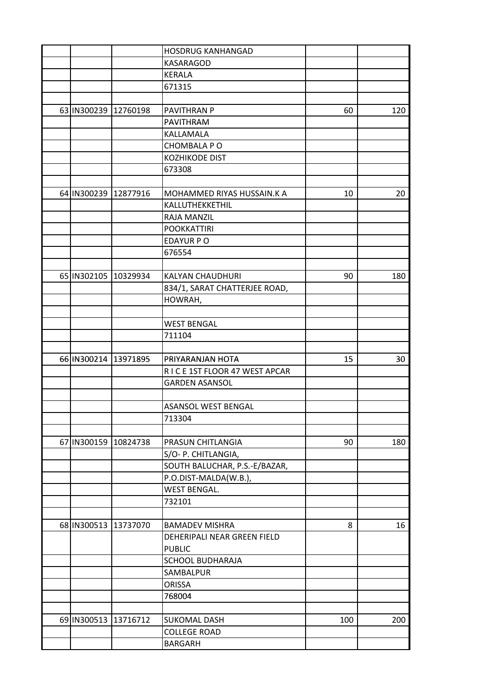|                      | <b>HOSDRUG KANHANGAD</b>      |     |     |
|----------------------|-------------------------------|-----|-----|
|                      | KASARAGOD                     |     |     |
|                      | <b>KERALA</b>                 |     |     |
|                      | 671315                        |     |     |
|                      |                               |     |     |
| 63 IN300239 12760198 | PAVITHRAN P                   | 60  | 120 |
|                      | PAVITHRAM                     |     |     |
|                      | KALLAMALA                     |     |     |
|                      | CHOMBALA PO                   |     |     |
|                      | <b>KOZHIKODE DIST</b>         |     |     |
|                      | 673308                        |     |     |
|                      |                               |     |     |
| 64 IN300239 12877916 | MOHAMMED RIYAS HUSSAIN.K A    | 10  | 20  |
|                      | KALLUTHEKKETHIL               |     |     |
|                      | RAJA MANZIL                   |     |     |
|                      | <b>POOKKATTIRI</b>            |     |     |
|                      | <b>EDAYUR P O</b>             |     |     |
|                      | 676554                        |     |     |
|                      |                               |     |     |
| 65 IN302105 10329934 | <b>KALYAN CHAUDHURI</b>       | 90  | 180 |
|                      | 834/1, SARAT CHATTERJEE ROAD, |     |     |
|                      | HOWRAH,                       |     |     |
|                      |                               |     |     |
|                      | <b>WEST BENGAL</b>            |     |     |
|                      | 711104                        |     |     |
|                      |                               |     |     |
| 66 IN300214 13971895 | PRIYARANJAN HOTA              | 15  | 30  |
|                      | RICE 1ST FLOOR 47 WEST APCAR  |     |     |
|                      | <b>GARDEN ASANSOL</b>         |     |     |
|                      |                               |     |     |
|                      | <b>ASANSOL WEST BENGAL</b>    |     |     |
|                      | 713304                        |     |     |
|                      |                               |     |     |
|                      |                               |     |     |
| 67 IN300159 10824738 | PRASUN CHITLANGIA             | 90  | 180 |
|                      | S/O- P. CHITLANGIA,           |     |     |
|                      | SOUTH BALUCHAR, P.S.-E/BAZAR, |     |     |
|                      | P.O.DIST-MALDA(W.B.),         |     |     |
|                      | <b>WEST BENGAL.</b>           |     |     |
|                      | 732101                        |     |     |
|                      |                               |     |     |
| 68 IN300513 13737070 | <b>BAMADEV MISHRA</b>         | 8   | 16  |
|                      | DEHERIPALI NEAR GREEN FIELD   |     |     |
|                      | <b>PUBLIC</b>                 |     |     |
|                      | <b>SCHOOL BUDHARAJA</b>       |     |     |
|                      | SAMBALPUR                     |     |     |
|                      | ORISSA                        |     |     |
|                      | 768004                        |     |     |
|                      |                               |     |     |
| 69 IN300513 13716712 | <b>SUKOMAL DASH</b>           | 100 | 200 |
|                      | <b>COLLEGE ROAD</b>           |     |     |
|                      | <b>BARGARH</b>                |     |     |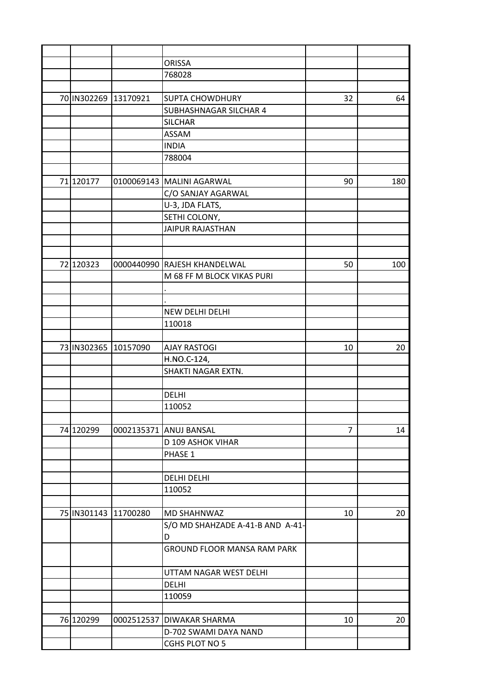|                      | <b>ORISSA</b>                      |                |     |
|----------------------|------------------------------------|----------------|-----|
|                      | 768028                             |                |     |
|                      |                                    |                |     |
| 70 IN302269 13170921 | <b>SUPTA CHOWDHURY</b>             | 32             | 64  |
|                      | SUBHASHNAGAR SILCHAR 4             |                |     |
|                      | <b>SILCHAR</b>                     |                |     |
|                      | <b>ASSAM</b>                       |                |     |
|                      | <b>INDIA</b>                       |                |     |
|                      | 788004                             |                |     |
|                      |                                    |                |     |
| 71 120177            | 0100069143   MALINI AGARWAL        | 90             | 180 |
|                      | C/O SANJAY AGARWAL                 |                |     |
|                      | U-3, JDA FLATS,                    |                |     |
|                      | SETHI COLONY,                      |                |     |
|                      | <b>JAIPUR RAJASTHAN</b>            |                |     |
|                      |                                    |                |     |
|                      |                                    |                |     |
|                      |                                    |                |     |
| 72 120323            | 0000440990 RAJESH KHANDELWAL       | 50             | 100 |
|                      | M 68 FF M BLOCK VIKAS PURI         |                |     |
|                      |                                    |                |     |
|                      |                                    |                |     |
|                      | NEW DELHI DELHI                    |                |     |
|                      | 110018                             |                |     |
|                      |                                    |                |     |
| 73 IN302365 10157090 | <b>AJAY RASTOGI</b>                | 10             | 20  |
|                      | H.NO.C-124,                        |                |     |
|                      | SHAKTI NAGAR EXTN.                 |                |     |
|                      |                                    |                |     |
|                      | <b>DELHI</b>                       |                |     |
|                      | 110052                             |                |     |
|                      |                                    |                |     |
| 74 120299            | 0002135371 ANUJ BANSAL             | $\overline{7}$ | 14  |
|                      | D 109 ASHOK VIHAR                  |                |     |
|                      | PHASE 1                            |                |     |
|                      |                                    |                |     |
|                      | <b>DELHI DELHI</b>                 |                |     |
|                      | 110052                             |                |     |
|                      |                                    |                |     |
| 75 IN301143 11700280 | MD SHAHNWAZ                        | 10             | 20  |
|                      | S/O MD SHAHZADE A-41-B AND A-41-   |                |     |
|                      | D                                  |                |     |
|                      | <b>GROUND FLOOR MANSA RAM PARK</b> |                |     |
|                      |                                    |                |     |
|                      | UTTAM NAGAR WEST DELHI             |                |     |
|                      | <b>DELHI</b>                       |                |     |
|                      |                                    |                |     |
|                      | 110059                             |                |     |
|                      |                                    |                |     |
| 76 120299            | 0002512537 DIWAKAR SHARMA          | 10             | 20  |
|                      | D-702 SWAMI DAYA NAND              |                |     |
|                      | CGHS PLOT NO 5                     |                |     |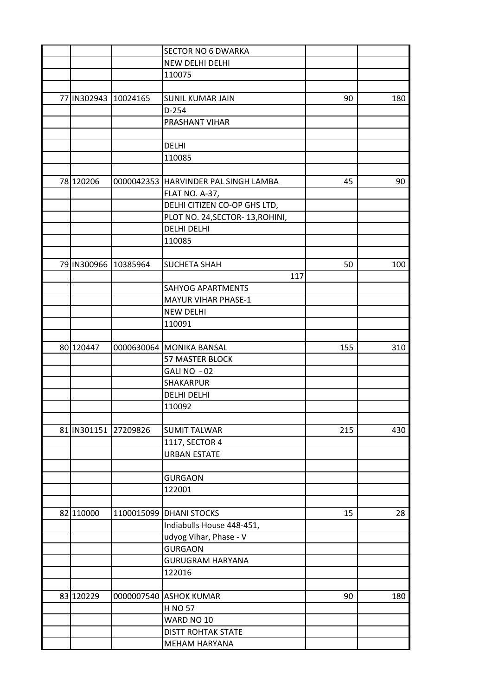|                      |          | <b>SECTOR NO 6 DWARKA</b>            |     |     |
|----------------------|----------|--------------------------------------|-----|-----|
|                      |          | NEW DELHI DELHI                      |     |     |
|                      |          | 110075                               |     |     |
|                      |          |                                      |     |     |
| 77 IN302943 10024165 |          | <b>SUNIL KUMAR JAIN</b>              | 90  | 180 |
|                      |          | $D-254$                              |     |     |
|                      |          | PRASHANT VIHAR                       |     |     |
|                      |          |                                      |     |     |
|                      |          | <b>DELHI</b>                         |     |     |
|                      |          | 110085                               |     |     |
|                      |          |                                      |     |     |
| 78 120206            |          | 0000042353 HARVINDER PAL SINGH LAMBA | 45  | 90  |
|                      |          | FLAT NO. A-37,                       |     |     |
|                      |          | DELHI CITIZEN CO-OP GHS LTD,         |     |     |
|                      |          | PLOT NO. 24, SECTOR-13, ROHINI,      |     |     |
|                      |          | <b>DELHI DELHI</b>                   |     |     |
|                      |          |                                      |     |     |
|                      |          | 110085                               |     |     |
|                      |          |                                      |     |     |
| 79 IN300966          | 10385964 | <b>SUCHETA SHAH</b>                  | 50  | 100 |
|                      |          | 117                                  |     |     |
|                      |          | SAHYOG APARTMENTS                    |     |     |
|                      |          | <b>MAYUR VIHAR PHASE-1</b>           |     |     |
|                      |          | <b>NEW DELHI</b>                     |     |     |
|                      |          | 110091                               |     |     |
|                      |          |                                      |     |     |
| 80 120447            |          | 0000630064 MONIKA BANSAL             | 155 | 310 |
|                      |          | <b>57 MASTER BLOCK</b>               |     |     |
|                      |          | GALINO - 02                          |     |     |
|                      |          | <b>SHAKARPUR</b>                     |     |     |
|                      |          | <b>DELHI DELHI</b>                   |     |     |
|                      |          | 110092                               |     |     |
|                      |          |                                      |     |     |
| 81 IN301151 27209826 |          | <b>SUMIT TALWAR</b>                  | 215 | 430 |
|                      |          | 1117, SECTOR 4                       |     |     |
|                      |          | <b>URBAN ESTATE</b>                  |     |     |
|                      |          |                                      |     |     |
|                      |          | <b>GURGAON</b>                       |     |     |
|                      |          | 122001                               |     |     |
|                      |          |                                      |     |     |
| 82 110000            |          | 1100015099 DHANI STOCKS              | 15  | 28  |
|                      |          | Indiabulls House 448-451,            |     |     |
|                      |          | udyog Vihar, Phase - V               |     |     |
|                      |          | <b>GURGAON</b>                       |     |     |
|                      |          |                                      |     |     |
|                      |          | <b>GURUGRAM HARYANA</b>              |     |     |
|                      |          | 122016                               |     |     |
|                      |          |                                      |     |     |
| 83 120229            |          | 0000007540 ASHOK KUMAR               | 90  | 180 |
|                      |          | <b>H NO 57</b>                       |     |     |
|                      |          | WARD NO 10                           |     |     |
|                      |          | <b>DISTT ROHTAK STATE</b>            |     |     |
|                      |          | MEHAM HARYANA                        |     |     |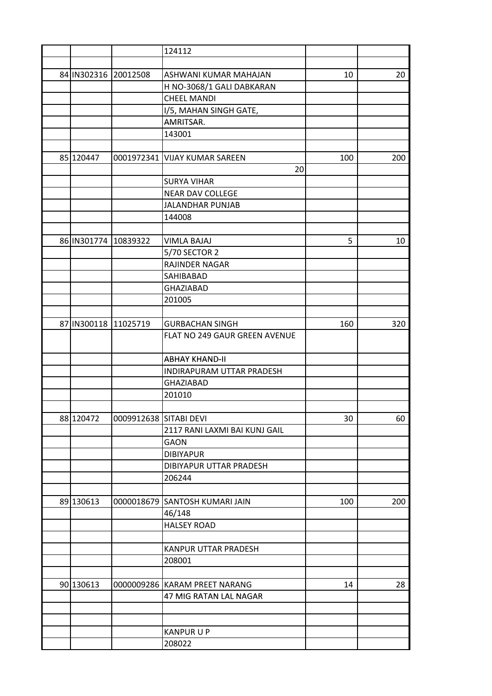|                      |                        | 124112                         |     |     |
|----------------------|------------------------|--------------------------------|-----|-----|
|                      |                        |                                |     |     |
| 84 IN302316 20012508 |                        | ASHWANI KUMAR MAHAJAN          | 10  | 20  |
|                      |                        | H NO-3068/1 GALI DABKARAN      |     |     |
|                      |                        | <b>CHEEL MANDI</b>             |     |     |
|                      |                        | I/5, MAHAN SINGH GATE,         |     |     |
|                      |                        | AMRITSAR.                      |     |     |
|                      |                        | 143001                         |     |     |
|                      |                        |                                |     |     |
| 85 120447            |                        | 0001972341 VIJAY KUMAR SAREEN  | 100 | 200 |
|                      |                        | 20                             |     |     |
|                      |                        | <b>SURYA VIHAR</b>             |     |     |
|                      |                        | NEAR DAV COLLEGE               |     |     |
|                      |                        | <b>JALANDHAR PUNJAB</b>        |     |     |
|                      |                        | 144008                         |     |     |
|                      |                        |                                |     |     |
| 86 IN301774 10839322 |                        | <b>VIMLA BAJAJ</b>             | 5   | 10  |
|                      |                        |                                |     |     |
|                      |                        | 5/70 SECTOR 2                  |     |     |
|                      |                        | <b>RAJINDER NAGAR</b>          |     |     |
|                      |                        | SAHIBABAD                      |     |     |
|                      |                        | <b>GHAZIABAD</b>               |     |     |
|                      |                        | 201005                         |     |     |
|                      |                        |                                |     |     |
| 87 IN300118 11025719 |                        | <b>GURBACHAN SINGH</b>         | 160 | 320 |
|                      |                        | FLAT NO 249 GAUR GREEN AVENUE  |     |     |
|                      |                        |                                |     |     |
|                      |                        | <b>ABHAY KHAND-II</b>          |     |     |
|                      |                        | INDIRAPURAM UTTAR PRADESH      |     |     |
|                      |                        | <b>GHAZIABAD</b>               |     |     |
|                      |                        | 201010                         |     |     |
|                      |                        |                                |     |     |
| 88 120472            | 0009912638 SITABI DEVI |                                | 30  | 60  |
|                      |                        | 2117 RANI LAXMI BAI KUNJ GAIL  |     |     |
|                      |                        | <b>GAON</b>                    |     |     |
|                      |                        | <b>DIBIYAPUR</b>               |     |     |
|                      |                        | DIBIYAPUR UTTAR PRADESH        |     |     |
|                      |                        | 206244                         |     |     |
|                      |                        |                                |     |     |
| 89 130613            |                        | 0000018679 SANTOSH KUMARI JAIN | 100 | 200 |
|                      |                        | 46/148                         |     |     |
|                      |                        | <b>HALSEY ROAD</b>             |     |     |
|                      |                        |                                |     |     |
|                      |                        | <b>KANPUR UTTAR PRADESH</b>    |     |     |
|                      |                        | 208001                         |     |     |
|                      |                        |                                |     |     |
| 90 130 613           |                        | 0000009286 KARAM PREET NARANG  | 14  | 28  |
|                      |                        | 47 MIG RATAN LAL NAGAR         |     |     |
|                      |                        |                                |     |     |
|                      |                        |                                |     |     |
|                      |                        | <b>KANPURUP</b>                |     |     |
|                      |                        | 208022                         |     |     |
|                      |                        |                                |     |     |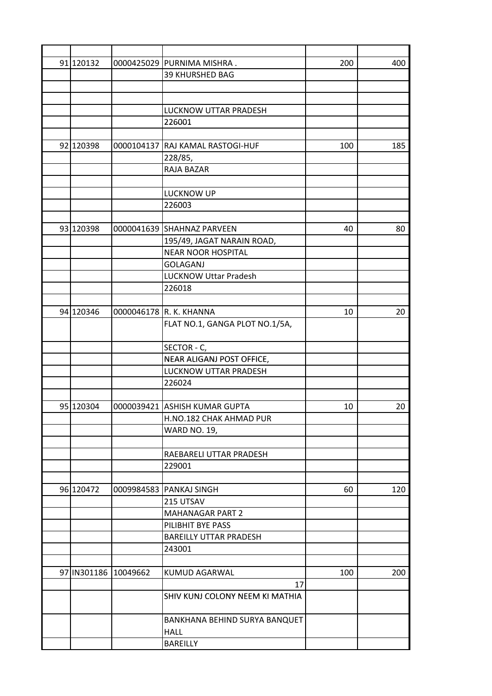| 91 120132            | 0000425029 PURNIMA MISHRA.       | 200 | 400 |
|----------------------|----------------------------------|-----|-----|
|                      | <b>39 KHURSHED BAG</b>           |     |     |
|                      |                                  |     |     |
|                      |                                  |     |     |
|                      | LUCKNOW UTTAR PRADESH            |     |     |
|                      | 226001                           |     |     |
|                      |                                  |     |     |
| 92 120398            | 0000104137 RAJ KAMAL RASTOGI-HUF | 100 | 185 |
|                      | 228/85,                          |     |     |
|                      | RAJA BAZAR                       |     |     |
|                      |                                  |     |     |
|                      | LUCKNOW UP                       |     |     |
|                      | 226003                           |     |     |
|                      |                                  |     |     |
| 93 120398            | 0000041639 SHAHNAZ PARVEEN       | 40  | 80  |
|                      | 195/49, JAGAT NARAIN ROAD,       |     |     |
|                      | <b>NEAR NOOR HOSPITAL</b>        |     |     |
|                      | <b>GOLAGANJ</b>                  |     |     |
|                      | <b>LUCKNOW Uttar Pradesh</b>     |     |     |
|                      | 226018                           |     |     |
|                      |                                  |     |     |
|                      |                                  |     |     |
| 94 120346            | 0000046178 R. K. KHANNA          | 10  | 20  |
|                      | FLAT NO.1, GANGA PLOT NO.1/5A,   |     |     |
|                      |                                  |     |     |
|                      | SECTOR - C,                      |     |     |
|                      | NEAR ALIGANJ POST OFFICE,        |     |     |
|                      | LUCKNOW UTTAR PRADESH            |     |     |
|                      | 226024                           |     |     |
|                      |                                  |     |     |
| 95 120304            | 0000039421 ASHISH KUMAR GUPTA    | 10  | 20  |
|                      | H.NO.182 CHAK AHMAD PUR          |     |     |
|                      | <b>WARD NO. 19,</b>              |     |     |
|                      |                                  |     |     |
|                      | RAEBARELI UTTAR PRADESH          |     |     |
|                      | 229001                           |     |     |
|                      |                                  |     |     |
| 96 120472            | 0009984583   PANKAJ SINGH        | 60  | 120 |
|                      | 215 UTSAV                        |     |     |
|                      | <b>MAHANAGAR PART 2</b>          |     |     |
|                      | PILIBHIT BYE PASS                |     |     |
|                      | <b>BAREILLY UTTAR PRADESH</b>    |     |     |
|                      | 243001                           |     |     |
|                      |                                  |     |     |
| 97 IN301186 10049662 | KUMUD AGARWAL                    | 100 | 200 |
|                      | 17                               |     |     |
|                      | SHIV KUNJ COLONY NEEM KI MATHIA  |     |     |
|                      |                                  |     |     |
|                      | BANKHANA BEHIND SURYA BANQUET    |     |     |
|                      | <b>HALL</b>                      |     |     |
|                      | <b>BAREILLY</b>                  |     |     |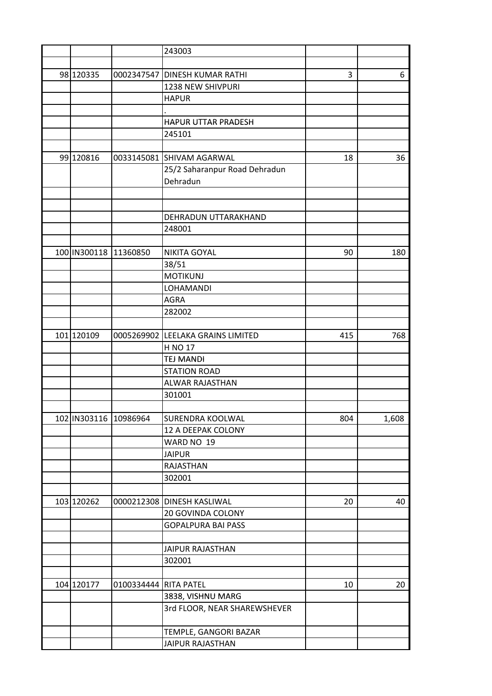|                       |            | 243003                            |     |       |
|-----------------------|------------|-----------------------------------|-----|-------|
|                       |            |                                   |     |       |
| 98 120335             | 0002347547 | DINESH KUMAR RATHI                | 3   | 6     |
|                       |            | 1238 NEW SHIVPURI                 |     |       |
|                       |            | <b>HAPUR</b>                      |     |       |
|                       |            |                                   |     |       |
|                       |            | <b>HAPUR UTTAR PRADESH</b>        |     |       |
|                       |            | 245101                            |     |       |
|                       |            |                                   |     |       |
| 99 120816             |            | 0033145081 SHIVAM AGARWAL         | 18  | 36    |
|                       |            | 25/2 Saharanpur Road Dehradun     |     |       |
|                       |            | Dehradun                          |     |       |
|                       |            |                                   |     |       |
|                       |            |                                   |     |       |
|                       |            | DEHRADUN UTTARAKHAND              |     |       |
|                       |            | 248001                            |     |       |
|                       |            |                                   |     |       |
| 100 IN300118 11360850 |            | <b>NIKITA GOYAL</b>               | 90  | 180   |
|                       |            | 38/51                             |     |       |
|                       |            | <b>MOTIKUNJ</b>                   |     |       |
|                       |            | LOHAMANDI                         |     |       |
|                       |            | <b>AGRA</b>                       |     |       |
|                       |            | 282002                            |     |       |
|                       |            |                                   |     |       |
| 101 120109            |            | 0005269902 LEELAKA GRAINS LIMITED | 415 | 768   |
|                       |            | H NO 17                           |     |       |
|                       |            | <b>TEJ MANDI</b>                  |     |       |
|                       |            | <b>STATION ROAD</b>               |     |       |
|                       |            | <b>ALWAR RAJASTHAN</b>            |     |       |
|                       |            | 301001                            |     |       |
|                       |            |                                   |     |       |
| 102 IN303116 10986964 |            | SURENDRA KOOLWAL                  | 804 | 1,608 |
|                       |            | 12 A DEEPAK COLONY                |     |       |
|                       |            | WARD NO 19                        |     |       |
|                       |            | <b>JAIPUR</b>                     |     |       |
|                       |            | RAJASTHAN                         |     |       |
|                       |            | 302001                            |     |       |
|                       |            |                                   |     |       |
| 103 120262            | 0000212308 | DINESH KASLIWAL                   | 20  | 40    |
|                       |            | 20 GOVINDA COLONY                 |     |       |
|                       |            | <b>GOPALPURA BAI PASS</b>         |     |       |
|                       |            |                                   |     |       |
|                       |            | JAIPUR RAJASTHAN                  |     |       |
|                       |            |                                   |     |       |
|                       |            | 302001                            |     |       |
| 104 120177            | 0100334444 | <b>RITA PATEL</b>                 | 10  | 20    |
|                       |            | 3838, VISHNU MARG                 |     |       |
|                       |            | 3rd FLOOR, NEAR SHAREWSHEVER      |     |       |
|                       |            |                                   |     |       |
|                       |            |                                   |     |       |
|                       |            | TEMPLE, GANGORI BAZAR             |     |       |
|                       |            | <b>JAIPUR RAJASTHAN</b>           |     |       |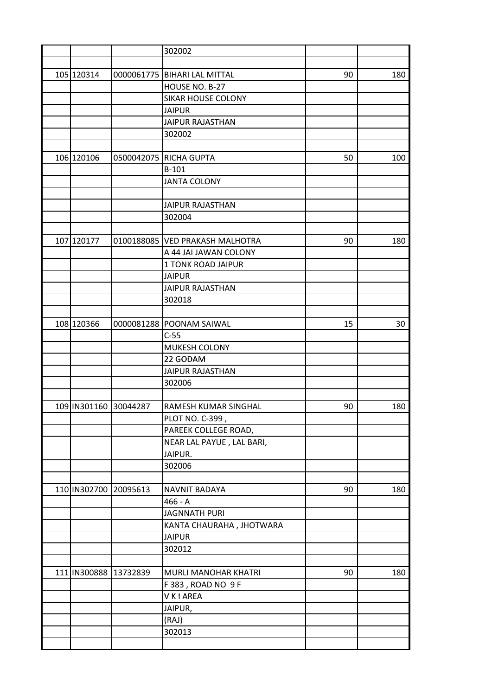|                           | 302002                          |    |     |
|---------------------------|---------------------------------|----|-----|
|                           |                                 |    |     |
| 105 120314                | 0000061775 BIHARI LAL MITTAL    | 90 | 180 |
|                           | HOUSE NO. B-27                  |    |     |
|                           | <b>SIKAR HOUSE COLONY</b>       |    |     |
|                           | <b>JAIPUR</b>                   |    |     |
|                           | <b>JAIPUR RAJASTHAN</b>         |    |     |
|                           | 302002                          |    |     |
|                           |                                 |    |     |
| 106 120106                | 0500042075 RICHA GUPTA          | 50 | 100 |
|                           | $B-101$                         |    |     |
|                           | <b>JANTA COLONY</b>             |    |     |
|                           |                                 |    |     |
|                           |                                 |    |     |
|                           | <b>JAIPUR RAJASTHAN</b>         |    |     |
|                           | 302004                          |    |     |
|                           |                                 |    |     |
| 107 120177                | 0100188085 VED PRAKASH MALHOTRA | 90 | 180 |
|                           | A 44 JAI JAWAN COLONY           |    |     |
|                           | <b>1 TONK ROAD JAIPUR</b>       |    |     |
|                           | <b>JAIPUR</b>                   |    |     |
|                           | <b>JAIPUR RAJASTHAN</b>         |    |     |
|                           | 302018                          |    |     |
|                           |                                 |    |     |
| 108 120366                | 0000081288 POONAM SAIWAL        | 15 | 30  |
|                           | $C-55$                          |    |     |
|                           | MUKESH COLONY                   |    |     |
|                           | 22 GODAM                        |    |     |
|                           | <b>JAIPUR RAJASTHAN</b>         |    |     |
|                           | 302006                          |    |     |
|                           |                                 |    |     |
| 109 IN301160 30044287     | RAMESH KUMAR SINGHAL            | 90 | 180 |
|                           | PLOT NO. C-399,                 |    |     |
|                           | PAREEK COLLEGE ROAD,            |    |     |
|                           | NEAR LAL PAYUE, LAL BARI,       |    |     |
|                           | JAIPUR.                         |    |     |
|                           | 302006                          |    |     |
|                           |                                 |    |     |
| 110 IN302700 20095613     | NAVNIT BADAYA                   | 90 | 180 |
|                           | $466 - A$                       |    |     |
|                           | <b>JAGNNATH PURI</b>            |    |     |
|                           | KANTA CHAURAHA, JHOTWARA        |    |     |
|                           |                                 |    |     |
|                           | <b>JAIPUR</b>                   |    |     |
|                           | 302012                          |    |     |
|                           |                                 |    |     |
| 111   IN300888   13732839 | MURLI MANOHAR KHATRI            | 90 | 180 |
|                           | F 383, ROAD NO 9 F              |    |     |
|                           | <b>VKIAREA</b>                  |    |     |
|                           | JAIPUR,                         |    |     |
|                           | (RAJ)                           |    |     |
|                           | 302013                          |    |     |
|                           |                                 |    |     |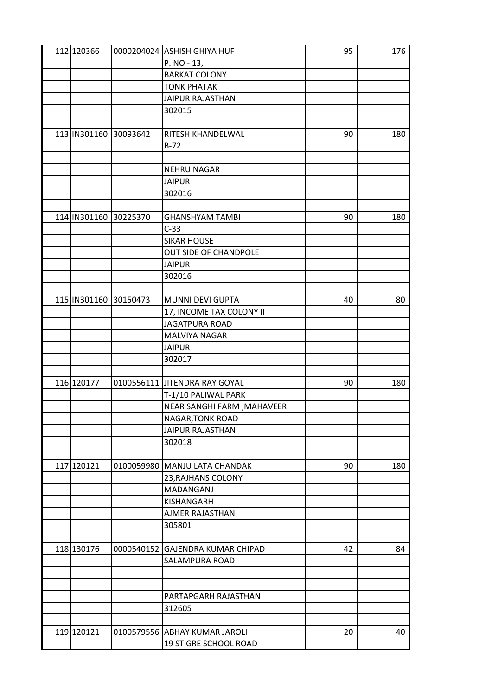| 112 120366              | 0000204024 ASHISH GHIYA HUF      | 95 | 176 |
|-------------------------|----------------------------------|----|-----|
|                         | P. NO - 13,                      |    |     |
|                         | <b>BARKAT COLONY</b>             |    |     |
|                         | <b>TONK PHATAK</b>               |    |     |
|                         | <b>JAIPUR RAJASTHAN</b>          |    |     |
|                         | 302015                           |    |     |
|                         |                                  |    |     |
| 113   IN301160 30093642 | RITESH KHANDELWAL                | 90 | 180 |
|                         | $B-72$                           |    |     |
|                         |                                  |    |     |
|                         | <b>NEHRU NAGAR</b>               |    |     |
|                         | <b>JAIPUR</b>                    |    |     |
|                         | 302016                           |    |     |
|                         |                                  |    |     |
| 114 IN301160 30225370   | <b>GHANSHYAM TAMBI</b>           | 90 | 180 |
|                         | $C-33$                           |    |     |
|                         | <b>SIKAR HOUSE</b>               |    |     |
|                         | OUT SIDE OF CHANDPOLE            |    |     |
|                         | <b>JAIPUR</b>                    |    |     |
|                         |                                  |    |     |
|                         | 302016                           |    |     |
|                         |                                  |    |     |
| 115   IN301160 30150473 | MUNNI DEVI GUPTA                 | 40 | 80  |
|                         | 17, INCOME TAX COLONY II         |    |     |
|                         | <b>JAGATPURA ROAD</b>            |    |     |
|                         | MALVIYA NAGAR                    |    |     |
|                         | <b>JAIPUR</b>                    |    |     |
|                         | 302017                           |    |     |
|                         |                                  |    |     |
| 116 120177              | 0100556111 JITENDRA RAY GOYAL    | 90 | 180 |
|                         | T-1/10 PALIWAL PARK              |    |     |
|                         | NEAR SANGHI FARM , MAHAVEER      |    |     |
|                         | NAGAR, TONK ROAD                 |    |     |
|                         | <b>JAIPUR RAJASTHAN</b>          |    |     |
|                         | 302018                           |    |     |
|                         |                                  |    |     |
| 117 120121              | 0100059980 MANJU LATA CHANDAK    | 90 | 180 |
|                         | 23, RAJHANS COLONY               |    |     |
|                         | MADANGANJ                        |    |     |
|                         | KISHANGARH                       |    |     |
|                         | AJMER RAJASTHAN                  |    |     |
|                         | 305801                           |    |     |
|                         |                                  |    |     |
| 118 130176              | 0000540152 GAJENDRA KUMAR CHIPAD | 42 | 84  |
|                         | SALAMPURA ROAD                   |    |     |
|                         |                                  |    |     |
|                         |                                  |    |     |
|                         | PARTAPGARH RAJASTHAN             |    |     |
|                         | 312605                           |    |     |
|                         |                                  |    |     |
| 119 120121              | 0100579556 ABHAY KUMAR JAROLI    | 20 | 40  |
|                         | 19 ST GRE SCHOOL ROAD            |    |     |
|                         |                                  |    |     |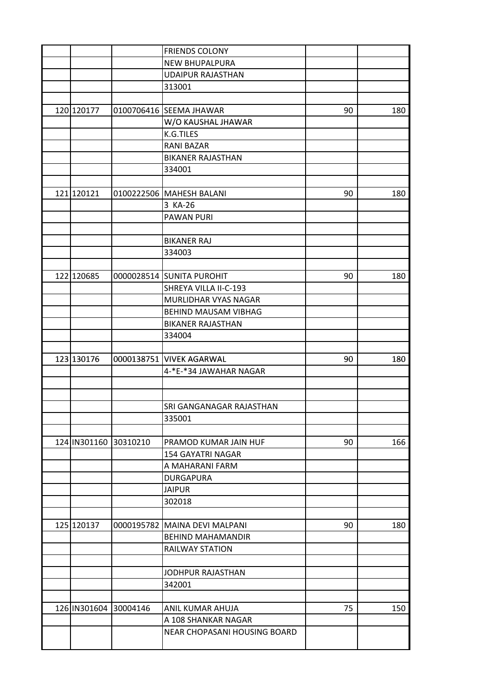|                       | FRIENDS COLONY                |    |     |
|-----------------------|-------------------------------|----|-----|
|                       | <b>NEW BHUPALPURA</b>         |    |     |
|                       | <b>UDAIPUR RAJASTHAN</b>      |    |     |
|                       | 313001                        |    |     |
|                       |                               |    |     |
| 120 120177            | 0100706416 SEEMA JHAWAR       | 90 | 180 |
|                       | W/O KAUSHAL JHAWAR            |    |     |
|                       | K.G.TILES                     |    |     |
|                       | <b>RANI BAZAR</b>             |    |     |
|                       | <b>BIKANER RAJASTHAN</b>      |    |     |
|                       | 334001                        |    |     |
|                       |                               |    |     |
| 121 120121            | 0100222506   MAHESH BALANI    | 90 | 180 |
|                       | 3 KA-26                       |    |     |
|                       | <b>PAWAN PURI</b>             |    |     |
|                       |                               |    |     |
|                       | <b>BIKANER RAJ</b>            |    |     |
|                       | 334003                        |    |     |
|                       |                               |    |     |
| 122 120685            | 0000028514 SUNITA PUROHIT     | 90 | 180 |
|                       | SHREYA VILLA II-C-193         |    |     |
|                       | MURLIDHAR VYAS NAGAR          |    |     |
|                       | BEHIND MAUSAM VIBHAG          |    |     |
|                       | <b>BIKANER RAJASTHAN</b>      |    |     |
|                       | 334004                        |    |     |
|                       |                               |    |     |
| 123 130176            | 0000138751 VIVEK AGARWAL      | 90 | 180 |
|                       | 4-*E-*34 JAWAHAR NAGAR        |    |     |
|                       |                               |    |     |
|                       |                               |    |     |
|                       | SRI GANGANAGAR RAJASTHAN      |    |     |
|                       | 335001                        |    |     |
|                       |                               |    |     |
|                       |                               |    |     |
| 124 IN301160 30310210 | PRAMOD KUMAR JAIN HUF         | 90 | 166 |
|                       | 154 GAYATRI NAGAR             |    |     |
|                       | A MAHARANI FARM               |    |     |
|                       | <b>DURGAPURA</b>              |    |     |
|                       | <b>JAIPUR</b>                 |    |     |
|                       | 302018                        |    |     |
|                       |                               |    |     |
| 125 120137            | 0000195782 MAINA DEVI MALPANI | 90 | 180 |
|                       | <b>BEHIND MAHAMANDIR</b>      |    |     |
|                       | <b>RAILWAY STATION</b>        |    |     |
|                       |                               |    |     |
|                       | JODHPUR RAJASTHAN             |    |     |
|                       | 342001                        |    |     |
|                       |                               |    |     |
| 126 IN301604 30004146 | ANIL KUMAR AHUJA              | 75 | 150 |
|                       | A 108 SHANKAR NAGAR           |    |     |
|                       | NEAR CHOPASANI HOUSING BOARD  |    |     |
|                       |                               |    |     |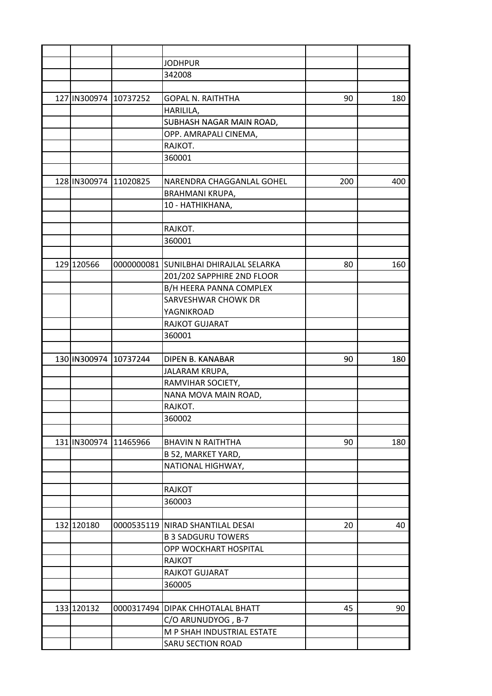|                       | <b>JODHPUR</b>                         |     |     |
|-----------------------|----------------------------------------|-----|-----|
|                       | 342008                                 |     |     |
|                       |                                        |     |     |
| 127 IN300974 10737252 | <b>GOPAL N. RAITHTHA</b>               | 90  | 180 |
|                       | HARILILA,                              |     |     |
|                       | SUBHASH NAGAR MAIN ROAD,               |     |     |
|                       | OPP. AMRAPALI CINEMA,                  |     |     |
|                       | RAJKOT.                                |     |     |
|                       | 360001                                 |     |     |
|                       |                                        |     |     |
| 128 IN300974 11020825 | NARENDRA CHAGGANLAL GOHEL              | 200 | 400 |
|                       | <b>BRAHMANI KRUPA,</b>                 |     |     |
|                       | 10 - HATHIKHANA,                       |     |     |
|                       |                                        |     |     |
|                       | RAJKOT.                                |     |     |
|                       | 360001                                 |     |     |
|                       |                                        |     |     |
| 129 120566            | 0000000081 SUNILBHAI DHIRAJLAL SELARKA | 80  | 160 |
|                       | 201/202 SAPPHIRE 2ND FLOOR             |     |     |
|                       | B/H HEERA PANNA COMPLEX                |     |     |
|                       | SARVESHWAR CHOWK DR                    |     |     |
|                       | YAGNIKROAD                             |     |     |
|                       | RAJKOT GUJARAT                         |     |     |
|                       | 360001                                 |     |     |
|                       |                                        |     |     |
| 130 IN300974 10737244 | DIPEN B. KANABAR                       | 90  | 180 |
|                       | JALARAM KRUPA,                         |     |     |
|                       | RAMVIHAR SOCIETY,                      |     |     |
|                       | NANA MOVA MAIN ROAD,                   |     |     |
|                       | RAJKOT.                                |     |     |
|                       | 360002                                 |     |     |
|                       |                                        |     |     |
| 131 IN300974 11465966 | <b>BHAVIN N RAITHTHA</b>               | 90  | 180 |
|                       |                                        |     |     |
|                       | B 52, MARKET YARD,                     |     |     |
|                       | NATIONAL HIGHWAY,                      |     |     |
|                       |                                        |     |     |
|                       | <b>RAJKOT</b>                          |     |     |
|                       | 360003                                 |     |     |
| 132 120180            |                                        |     |     |
|                       | 0000535119   NIRAD SHANTILAL DESAI     | 20  | 40  |
|                       | <b>B 3 SADGURU TOWERS</b>              |     |     |
|                       | OPP WOCKHART HOSPITAL                  |     |     |
|                       | <b>RAJKOT</b>                          |     |     |
|                       | RAJKOT GUJARAT                         |     |     |
|                       | 360005                                 |     |     |
|                       |                                        |     |     |
| 133 120132            | 0000317494 DIPAK CHHOTALAL BHATT       | 45  | 90  |
|                       | C/O ARUNUDYOG, B-7                     |     |     |
|                       | M P SHAH INDUSTRIAL ESTATE             |     |     |
|                       | <b>SARU SECTION ROAD</b>               |     |     |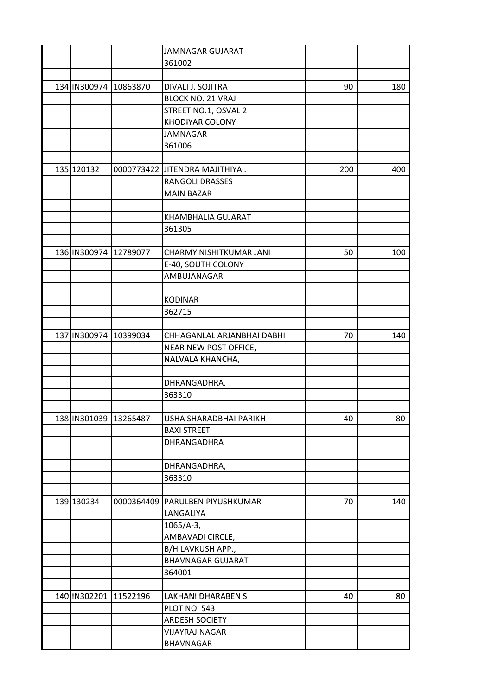|                        |                       | <b>JAMNAGAR GUJARAT</b>         |     |     |
|------------------------|-----------------------|---------------------------------|-----|-----|
|                        |                       | 361002                          |     |     |
|                        |                       |                                 |     |     |
| 134 IN300974           | 10863870              | DIVALI J. SOJITRA               | 90  | 180 |
|                        |                       | <b>BLOCK NO. 21 VRAJ</b>        |     |     |
|                        |                       | STREET NO.1, OSVAL 2            |     |     |
|                        |                       | <b>KHODIYAR COLONY</b>          |     |     |
|                        |                       | <b>JAMNAGAR</b>                 |     |     |
|                        |                       | 361006                          |     |     |
|                        |                       |                                 |     |     |
| 135 120132             |                       | 0000773422 JJITENDRA MAJITHIYA. | 200 | 400 |
|                        |                       | <b>RANGOLI DRASSES</b>          |     |     |
|                        |                       | <b>MAIN BAZAR</b>               |     |     |
|                        |                       |                                 |     |     |
|                        |                       | KHAMBHALIA GUJARAT              |     |     |
|                        |                       | 361305                          |     |     |
|                        |                       |                                 |     |     |
| 136 IN300974 12789077  |                       | CHARMY NISHITKUMAR JANI         | 50  | 100 |
|                        |                       | E-40, SOUTH COLONY              |     |     |
|                        |                       | AMBUJANAGAR                     |     |     |
|                        |                       |                                 |     |     |
|                        |                       | <b>KODINAR</b>                  |     |     |
|                        |                       | 362715                          |     |     |
|                        |                       |                                 |     |     |
| 137 IN300974 10399034  |                       | CHHAGANLAL ARJANBHAI DABHI      | 70  | 140 |
|                        |                       | NEAR NEW POST OFFICE,           |     |     |
|                        |                       | NALVALA KHANCHA,                |     |     |
|                        |                       |                                 |     |     |
|                        |                       | DHRANGADHRA.                    |     |     |
|                        |                       | 363310                          |     |     |
|                        |                       |                                 |     |     |
| 138 IN301039  13265487 |                       | USHA SHARADBHAI PARIKH          | 40  | 80  |
|                        |                       | <b>BAXI STREET</b>              |     |     |
|                        |                       | DHRANGADHRA                     |     |     |
|                        |                       |                                 |     |     |
|                        |                       | DHRANGADHRA,                    |     |     |
|                        |                       | 363310                          |     |     |
|                        |                       |                                 |     |     |
| 139 130234             | 0000364409            | PARULBEN PIYUSHKUMAR            | 70  | 140 |
|                        |                       | LANGALIYA                       |     |     |
|                        |                       | $1065/A-3,$                     |     |     |
|                        |                       | AMBAVADI CIRCLE,                |     |     |
|                        |                       | B/H LAVKUSH APP.,               |     |     |
|                        |                       | <b>BHAVNAGAR GUJARAT</b>        |     |     |
|                        |                       |                                 |     |     |
|                        |                       | 364001                          |     |     |
|                        |                       |                                 |     |     |
|                        | 140 IN302201 11522196 | LAKHANI DHARABEN S              | 40  | 80  |
|                        |                       | <b>PLOT NO. 543</b>             |     |     |
|                        |                       | ARDESH SOCIETY                  |     |     |
|                        |                       | VIJAYRAJ NAGAR                  |     |     |
|                        |                       | BHAVNAGAR                       |     |     |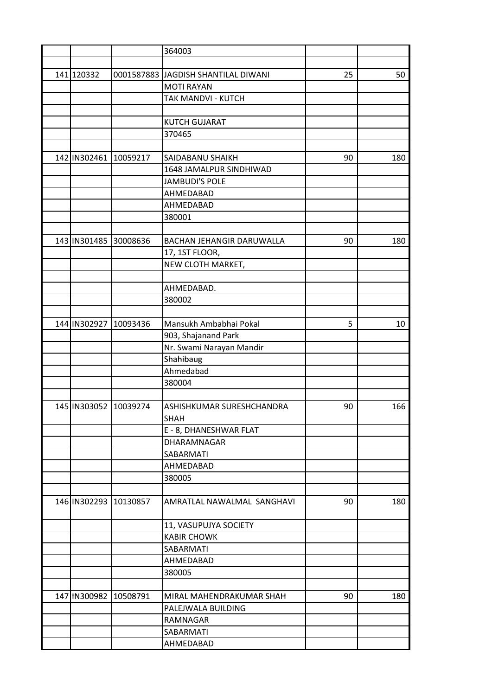|                       |                         | 364003                               |    |     |
|-----------------------|-------------------------|--------------------------------------|----|-----|
|                       |                         |                                      |    |     |
| 141 120332            |                         | 0001587883 JJAGDISH SHANTILAL DIWANI | 25 | 50  |
|                       |                         | <b>MOTI RAYAN</b>                    |    |     |
|                       |                         | TAK MANDVI - KUTCH                   |    |     |
|                       |                         |                                      |    |     |
|                       |                         | <b>KUTCH GUJARAT</b>                 |    |     |
|                       |                         | 370465                               |    |     |
|                       |                         |                                      |    |     |
| 142 IN302461 10059217 |                         | SAIDABANU SHAIKH                     | 90 | 180 |
|                       |                         | 1648 JAMALPUR SINDHIWAD              |    |     |
|                       |                         | <b>JAMBUDI'S POLE</b>                |    |     |
|                       |                         | AHMEDABAD                            |    |     |
|                       |                         | AHMEDABAD                            |    |     |
|                       |                         | 380001                               |    |     |
|                       |                         |                                      |    |     |
| 143 IN301485 30008636 |                         | BACHAN JEHANGIR DARUWALLA            | 90 | 180 |
|                       |                         | 17, 1ST FLOOR,                       |    |     |
|                       |                         | NEW CLOTH MARKET,                    |    |     |
|                       |                         |                                      |    |     |
|                       |                         | AHMEDABAD.                           |    |     |
|                       |                         | 380002                               |    |     |
|                       |                         |                                      |    |     |
| 144 IN302927 10093436 |                         | Mansukh Ambabhai Pokal               | 5  | 10  |
|                       |                         | 903, Shajanand Park                  |    |     |
|                       |                         | Nr. Swami Narayan Mandir             |    |     |
|                       |                         | Shahibaug                            |    |     |
|                       |                         | Ahmedabad                            |    |     |
|                       |                         | 380004                               |    |     |
|                       |                         |                                      |    |     |
| 145 IN303052 10039274 |                         | ASHISHKUMAR SURESHCHANDRA            | 90 | 166 |
|                       |                         | SHAH                                 |    |     |
|                       |                         | E - 8, DHANESHWAR FLAT               |    |     |
|                       |                         | DHARAMNAGAR                          |    |     |
|                       |                         | SABARMATI                            |    |     |
|                       |                         | AHMEDABAD                            |    |     |
|                       |                         | 380005                               |    |     |
|                       |                         |                                      |    |     |
|                       | 146 IN302293   10130857 | AMRATLAL NAWALMAL SANGHAVI           | 90 | 180 |
|                       |                         | 11, VASUPUJYA SOCIETY                |    |     |
|                       |                         | <b>KABIR CHOWK</b>                   |    |     |
|                       |                         | SABARMATI                            |    |     |
|                       |                         | AHMEDABAD                            |    |     |
|                       |                         | 380005                               |    |     |
|                       |                         |                                      |    |     |
| 147 IN300982 10508791 |                         | MIRAL MAHENDRAKUMAR SHAH             | 90 | 180 |
|                       |                         | PALEJWALA BUILDING                   |    |     |
|                       |                         | RAMNAGAR                             |    |     |
|                       |                         | SABARMATI                            |    |     |
|                       |                         | AHMEDABAD                            |    |     |
|                       |                         |                                      |    |     |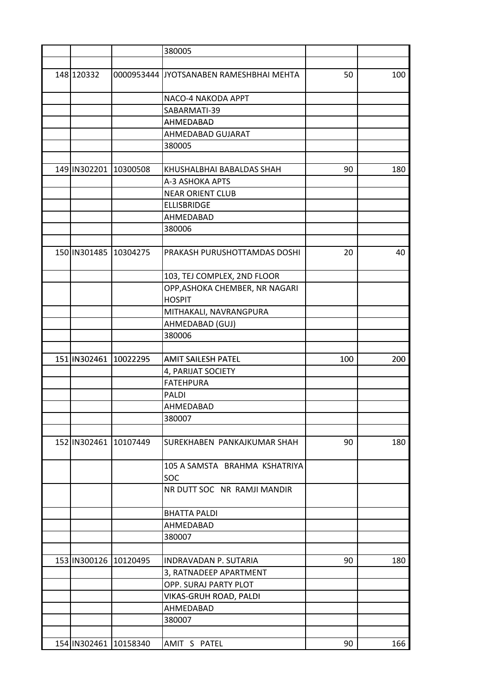|                       |                       | 380005                                      |     |     |
|-----------------------|-----------------------|---------------------------------------------|-----|-----|
|                       |                       |                                             |     |     |
| 148 120332            |                       | 0000953444 JYOTSANABEN RAMESHBHAI MEHTA     | 50  | 100 |
|                       |                       | NACO-4 NAKODA APPT                          |     |     |
|                       |                       | SABARMATI-39                                |     |     |
|                       |                       | AHMEDABAD                                   |     |     |
|                       |                       | AHMEDABAD GUJARAT                           |     |     |
|                       |                       | 380005                                      |     |     |
|                       |                       |                                             |     |     |
| 149 IN302201 10300508 |                       | KHUSHALBHAI BABALDAS SHAH                   | 90  | 180 |
|                       |                       | A-3 ASHOKA APTS                             |     |     |
|                       |                       | <b>NEAR ORIENT CLUB</b>                     |     |     |
|                       |                       | <b>ELLISBRIDGE</b>                          |     |     |
|                       |                       | AHMEDABAD                                   |     |     |
|                       |                       | 380006                                      |     |     |
|                       |                       |                                             |     |     |
|                       | 150 IN301485 10304275 | PRAKASH PURUSHOTTAMDAS DOSHI                | 20  | 40  |
|                       |                       | 103, TEJ COMPLEX, 2ND FLOOR                 |     |     |
|                       |                       | OPP, ASHOKA CHEMBER, NR NAGARI              |     |     |
|                       |                       | <b>HOSPIT</b>                               |     |     |
|                       |                       | MITHAKALI, NAVRANGPURA                      |     |     |
|                       |                       | AHMEDABAD (GUJ)                             |     |     |
|                       |                       | 380006                                      |     |     |
|                       |                       |                                             |     |     |
| 151 IN302461 10022295 |                       | AMIT SAILESH PATEL                          | 100 | 200 |
|                       |                       | 4, PARIJAT SOCIETY                          |     |     |
|                       |                       | <b>FATEHPURA</b>                            |     |     |
|                       |                       | <b>PALDI</b>                                |     |     |
|                       |                       | AHMEDABAD                                   |     |     |
|                       |                       | 380007                                      |     |     |
|                       |                       |                                             |     |     |
|                       | 152 IN302461 10107449 | SUREKHABEN PANKAJKUMAR SHAH                 | 90  | 180 |
|                       |                       | 105 A SAMSTA BRAHMA KSHATRIYA<br><b>SOC</b> |     |     |
|                       |                       | NR DUTT SOC NR RAMJI MANDIR                 |     |     |
|                       |                       | <b>BHATTA PALDI</b>                         |     |     |
|                       |                       | AHMEDABAD                                   |     |     |
|                       |                       | 380007                                      |     |     |
|                       |                       |                                             |     |     |
|                       | 153 IN300126 10120495 | INDRAVADAN P. SUTARIA                       | 90  | 180 |
|                       |                       | 3, RATNADEEP APARTMENT                      |     |     |
|                       |                       | OPP. SURAJ PARTY PLOT                       |     |     |
|                       |                       | VIKAS-GRUH ROAD, PALDI                      |     |     |
|                       |                       | AHMEDABAD                                   |     |     |
|                       |                       | 380007                                      |     |     |
|                       |                       |                                             |     |     |
|                       | 154 IN302461 10158340 | AMIT S PATEL                                | 90  | 166 |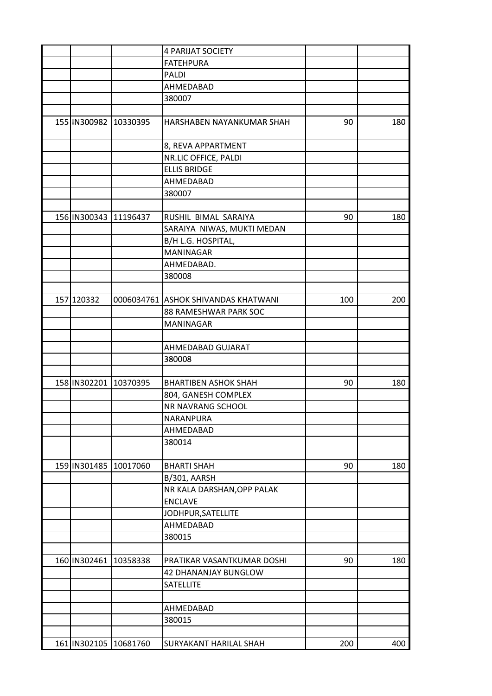|                       |          | <b>4 PARIJAT SOCIETY</b>            |     |     |
|-----------------------|----------|-------------------------------------|-----|-----|
|                       |          | <b>FATEHPURA</b>                    |     |     |
|                       |          | PALDI                               |     |     |
|                       |          | AHMEDABAD                           |     |     |
|                       |          | 380007                              |     |     |
|                       |          |                                     |     |     |
| 155 IN300982 10330395 |          | HARSHABEN NAYANKUMAR SHAH           | 90  | 180 |
|                       |          | 8, REVA APPARTMENT                  |     |     |
|                       |          | NR.LIC OFFICE, PALDI                |     |     |
|                       |          | <b>ELLIS BRIDGE</b>                 |     |     |
|                       |          | AHMEDABAD                           |     |     |
|                       |          | 380007                              |     |     |
|                       |          |                                     |     |     |
| 156 IN300343 11196437 |          | RUSHIL BIMAL SARAIYA                | 90  | 180 |
|                       |          | SARAIYA NIWAS, MUKTI MEDAN          |     |     |
|                       |          | B/H L.G. HOSPITAL,                  |     |     |
|                       |          | MANINAGAR                           |     |     |
|                       |          |                                     |     |     |
|                       |          | AHMEDABAD.                          |     |     |
|                       |          | 380008                              |     |     |
|                       |          |                                     |     |     |
| 157 120332            |          | 0006034761 ASHOK SHIVANDAS KHATWANI | 100 | 200 |
|                       |          | 88 RAMESHWAR PARK SOC               |     |     |
|                       |          | MANINAGAR                           |     |     |
|                       |          |                                     |     |     |
|                       |          | AHMEDABAD GUJARAT                   |     |     |
|                       |          | 380008                              |     |     |
|                       |          |                                     |     |     |
| 158 IN302201 10370395 |          | <b>BHARTIBEN ASHOK SHAH</b>         | 90  | 180 |
|                       |          | 804, GANESH COMPLEX                 |     |     |
|                       |          | NR NAVRANG SCHOOL                   |     |     |
|                       |          | NARANPURA                           |     |     |
|                       |          | AHMEDABAD                           |     |     |
|                       |          | 380014                              |     |     |
|                       |          |                                     |     |     |
| 159 IN301485          | 10017060 | <b>BHARTI SHAH</b>                  | 90  | 180 |
|                       |          | B/301, AARSH                        |     |     |
|                       |          | NR KALA DARSHAN, OPP PALAK          |     |     |
|                       |          | <b>ENCLAVE</b>                      |     |     |
|                       |          | JODHPUR, SATELLITE                  |     |     |
|                       |          |                                     |     |     |
|                       |          | AHMEDABAD                           |     |     |
|                       |          | 380015                              |     |     |
|                       |          |                                     |     |     |
| 160 IN302461 10358338 |          | PRATIKAR VASANTKUMAR DOSHI          | 90  | 180 |
|                       |          | 42 DHANANJAY BUNGLOW                |     |     |
|                       |          | SATELLITE                           |     |     |
|                       |          |                                     |     |     |
|                       |          | AHMEDABAD                           |     |     |
|                       |          | 380015                              |     |     |
|                       |          |                                     |     |     |
| 161 IN302105 10681760 |          | SURYAKANT HARILAL SHAH              | 200 | 400 |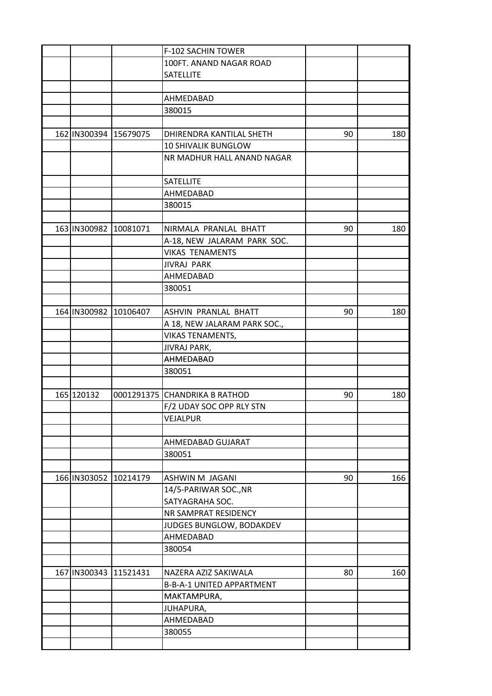|                       | F-102 SACHIN TOWER                       |    |     |
|-----------------------|------------------------------------------|----|-----|
|                       | 100FT. ANAND NAGAR ROAD                  |    |     |
|                       | SATELLITE                                |    |     |
|                       |                                          |    |     |
|                       | AHMEDABAD                                |    |     |
|                       | 380015                                   |    |     |
|                       |                                          |    |     |
| 162 IN300394 15679075 | DHIRENDRA KANTILAL SHETH                 | 90 | 180 |
|                       | <b>10 SHIVALIK BUNGLOW</b>               |    |     |
|                       | NR MADHUR HALL ANAND NAGAR               |    |     |
|                       |                                          |    |     |
|                       | SATELLITE                                |    |     |
|                       | AHMEDABAD                                |    |     |
|                       | 380015                                   |    |     |
|                       |                                          |    |     |
| 163 IN300982 10081071 | NIRMALA PRANLAL BHATT                    | 90 | 180 |
|                       | A-18, NEW JALARAM PARK SOC.              |    |     |
|                       | <b>VIKAS TENAMENTS</b>                   |    |     |
|                       | <b>JIVRAJ PARK</b>                       |    |     |
|                       | AHMEDABAD                                |    |     |
|                       | 380051                                   |    |     |
|                       |                                          |    |     |
| 164 IN300982 10106407 | ASHVIN PRANLAL BHATT                     | 90 | 180 |
|                       | A 18, NEW JALARAM PARK SOC.,             |    |     |
|                       | VIKAS TENAMENTS,                         |    |     |
|                       | <b>JIVRAJ PARK,</b>                      |    |     |
|                       | AHMEDABAD                                |    |     |
|                       | 380051                                   |    |     |
|                       |                                          |    |     |
| 165 120132            | 0001291375 CHANDRIKA B RATHOD            | 90 | 180 |
|                       | F/2 UDAY SOC OPP RLY STN                 |    |     |
|                       |                                          |    |     |
|                       | VEJALPUR                                 |    |     |
|                       |                                          |    |     |
|                       | AHMEDABAD GUJARAT<br>380051              |    |     |
|                       |                                          |    |     |
| 166 IN303052 10214179 |                                          | 90 | 166 |
|                       | ASHWIN M JAGANI                          |    |     |
|                       | 14/5-PARIWAR SOC., NR<br>SATYAGRAHA SOC. |    |     |
|                       |                                          |    |     |
|                       | NR SAMPRAT RESIDENCY                     |    |     |
|                       | JUDGES BUNGLOW, BODAKDEV                 |    |     |
|                       | AHMEDABAD                                |    |     |
|                       | 380054                                   |    |     |
|                       |                                          |    |     |
| 167 IN300343 11521431 | NAZERA AZIZ SAKIWALA                     | 80 | 160 |
|                       | <b>B-B-A-1 UNITED APPARTMENT</b>         |    |     |
|                       | MAKTAMPURA,                              |    |     |
|                       | JUHAPURA,                                |    |     |
|                       | AHMEDABAD                                |    |     |
|                       | 380055                                   |    |     |
|                       |                                          |    |     |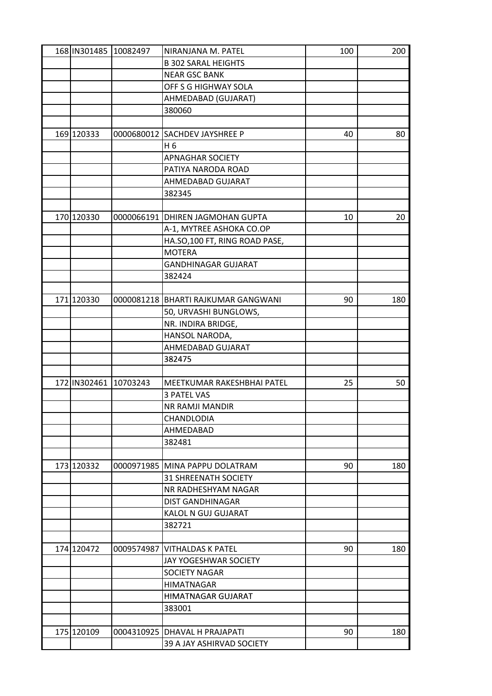| 168 IN301485 10082497 |            | NIRANJANA M. PATEL                    | 100 | 200 |
|-----------------------|------------|---------------------------------------|-----|-----|
|                       |            | <b>B 302 SARAL HEIGHTS</b>            |     |     |
|                       |            | <b>NEAR GSC BANK</b>                  |     |     |
|                       |            | OFF S G HIGHWAY SOLA                  |     |     |
|                       |            | AHMEDABAD (GUJARAT)                   |     |     |
|                       |            | 380060                                |     |     |
|                       |            |                                       |     |     |
| 169 120333            |            | 0000680012 SACHDEV JAYSHREE P         | 40  | 80  |
|                       |            | H 6                                   |     |     |
|                       |            | <b>APNAGHAR SOCIETY</b>               |     |     |
|                       |            | PATIYA NARODA ROAD                    |     |     |
|                       |            | AHMEDABAD GUJARAT                     |     |     |
|                       |            | 382345                                |     |     |
|                       |            |                                       |     |     |
| 170 120330            |            | 0000066191 DHIREN JAGMOHAN GUPTA      | 10  | 20  |
|                       |            | A-1, MYTREE ASHOKA CO.OP              |     |     |
|                       |            | HA.SO,100 FT, RING ROAD PASE,         |     |     |
|                       |            | <b>MOTERA</b>                         |     |     |
|                       |            |                                       |     |     |
|                       |            | <b>GANDHINAGAR GUJARAT</b>            |     |     |
|                       |            | 382424                                |     |     |
|                       |            |                                       |     |     |
| 171 120330            |            | 0000081218   BHARTI RAJKUMAR GANGWANI | 90  | 180 |
|                       |            | 50, URVASHI BUNGLOWS,                 |     |     |
|                       |            | NR. INDIRA BRIDGE,                    |     |     |
|                       |            | HANSOL NARODA,                        |     |     |
|                       |            | AHMEDABAD GUJARAT                     |     |     |
|                       |            | 382475                                |     |     |
|                       |            |                                       |     |     |
| 172 IN302461 10703243 |            | MEETKUMAR RAKESHBHAI PATEL            | 25  | 50  |
|                       |            | <b>3 PATEL VAS</b>                    |     |     |
|                       |            | NR RAMJI MANDIR                       |     |     |
|                       |            | CHANDLODIA                            |     |     |
|                       |            | AHMEDABAD                             |     |     |
|                       |            | 382481                                |     |     |
|                       |            |                                       |     |     |
| 173 120332            |            | 0000971985 MINA PAPPU DOLATRAM        | 90  | 180 |
|                       |            | <b>31 SHREENATH SOCIETY</b>           |     |     |
|                       |            | NR RADHESHYAM NAGAR                   |     |     |
|                       |            | DIST GANDHINAGAR                      |     |     |
|                       |            | KALOL N GUJ GUJARAT                   |     |     |
|                       |            | 382721                                |     |     |
|                       |            |                                       |     |     |
| 174 120472            | 0009574987 | <b>VITHALDAS K PATEL</b>              | 90  | 180 |
|                       |            | JAY YOGESHWAR SOCIETY                 |     |     |
|                       |            | <b>SOCIETY NAGAR</b>                  |     |     |
|                       |            | <b>HIMATNAGAR</b>                     |     |     |
|                       |            | <b>HIMATNAGAR GUJARAT</b>             |     |     |
|                       |            | 383001                                |     |     |
|                       |            |                                       |     |     |
| 175 120109            |            | 0004310925   DHAVAL H PRAJAPATI       | 90  | 180 |
|                       |            | 39 A JAY ASHIRVAD SOCIETY             |     |     |
|                       |            |                                       |     |     |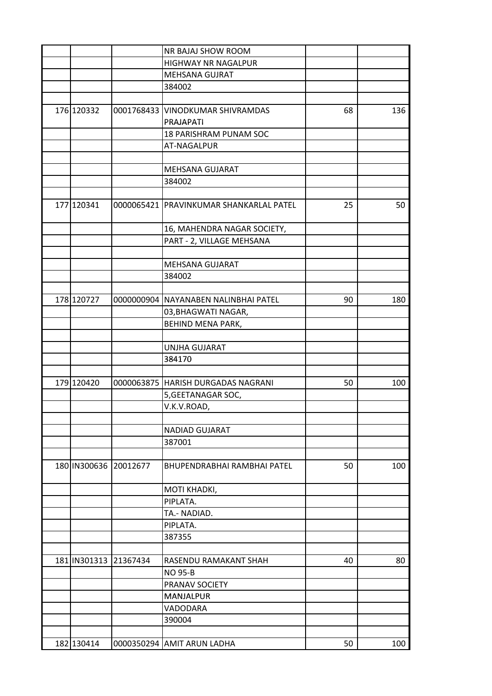|                       |                       | NR BAJAJ SHOW ROOM                      |    |     |
|-----------------------|-----------------------|-----------------------------------------|----|-----|
|                       |                       | HIGHWAY NR NAGALPUR                     |    |     |
|                       |                       | MEHSANA GUJRAT                          |    |     |
|                       |                       | 384002                                  |    |     |
|                       |                       |                                         |    |     |
| 176 120332            |                       | 0001768433 VINODKUMAR SHIVRAMDAS        | 68 | 136 |
|                       |                       | PRAJAPATI                               |    |     |
|                       |                       | 18 PARISHRAM PUNAM SOC                  |    |     |
|                       |                       | AT-NAGALPUR                             |    |     |
|                       |                       |                                         |    |     |
|                       |                       | MEHSANA GUJARAT                         |    |     |
|                       |                       | 384002                                  |    |     |
|                       |                       |                                         |    |     |
| 177 120341            |                       | 0000065421 PRAVINKUMAR SHANKARLAL PATEL | 25 | 50  |
|                       |                       |                                         |    |     |
|                       |                       |                                         |    |     |
|                       |                       | 16, MAHENDRA NAGAR SOCIETY,             |    |     |
|                       |                       | PART - 2, VILLAGE MEHSANA               |    |     |
|                       |                       |                                         |    |     |
|                       |                       | <b>MEHSANA GUJARAT</b>                  |    |     |
|                       |                       | 384002                                  |    |     |
|                       |                       |                                         |    |     |
| 178 120727            |                       | 0000000904  NAYANABEN NALINBHAI PATEL   | 90 | 180 |
|                       |                       | 03, BHAGWATI NAGAR,                     |    |     |
|                       |                       | BEHIND MENA PARK,                       |    |     |
|                       |                       |                                         |    |     |
|                       |                       | <b>UNJHA GUJARAT</b>                    |    |     |
|                       |                       | 384170                                  |    |     |
|                       |                       |                                         |    |     |
| 179 120420            |                       | 0000063875 HARISH DURGADAS NAGRANI      | 50 | 100 |
|                       |                       | 5, GEETANAGAR SOC,                      |    |     |
|                       |                       | V.K.V.ROAD,                             |    |     |
|                       |                       |                                         |    |     |
|                       |                       | <b>NADIAD GUJARAT</b>                   |    |     |
|                       |                       | 387001                                  |    |     |
|                       |                       |                                         |    |     |
|                       | 180 IN300636 20012677 | BHUPENDRABHAI RAMBHAI PATEL             | 50 | 100 |
|                       |                       |                                         |    |     |
|                       |                       | MOTI KHADKI,                            |    |     |
|                       |                       | PIPLATA.                                |    |     |
|                       |                       | TA.- NADIAD.                            |    |     |
|                       |                       | PIPLATA.                                |    |     |
|                       |                       | 387355                                  |    |     |
|                       |                       |                                         |    |     |
| 181 IN301313 21367434 |                       | RASENDU RAMAKANT SHAH                   | 40 | 80  |
|                       |                       | <b>NO 95-B</b>                          |    |     |
|                       |                       | PRANAV SOCIETY                          |    |     |
|                       |                       | <b>MANJALPUR</b>                        |    |     |
|                       |                       | VADODARA                                |    |     |
|                       |                       | 390004                                  |    |     |
|                       |                       |                                         |    |     |
|                       |                       |                                         |    |     |
| 182 130414            |                       | 0000350294 AMIT ARUN LADHA              | 50 | 100 |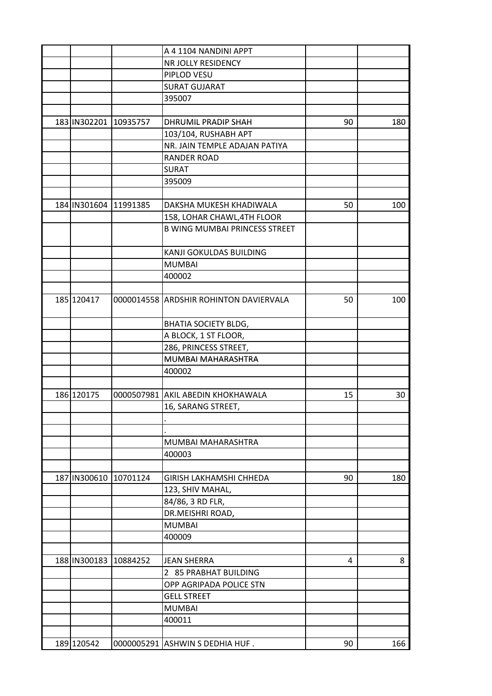|                       |          | A 4 1104 NANDINI APPT                  |    |     |
|-----------------------|----------|----------------------------------------|----|-----|
|                       |          | NR JOLLY RESIDENCY                     |    |     |
|                       |          | PIPLOD VESU                            |    |     |
|                       |          | <b>SURAT GUJARAT</b>                   |    |     |
|                       |          | 395007                                 |    |     |
|                       |          |                                        |    |     |
| 183 IN302201 10935757 |          | DHRUMIL PRADIP SHAH                    | 90 | 180 |
|                       |          | 103/104, RUSHABH APT                   |    |     |
|                       |          | NR. JAIN TEMPLE ADAJAN PATIYA          |    |     |
|                       |          | <b>RANDER ROAD</b>                     |    |     |
|                       |          | <b>SURAT</b>                           |    |     |
|                       |          | 395009                                 |    |     |
|                       |          |                                        |    |     |
| 184 IN301604 11991385 |          | DAKSHA MUKESH KHADIWALA                | 50 | 100 |
|                       |          | 158, LOHAR CHAWL, 4TH FLOOR            |    |     |
|                       |          | <b>B WING MUMBAI PRINCESS STREET</b>   |    |     |
|                       |          |                                        |    |     |
|                       |          | KANJI GOKULDAS BUILDING                |    |     |
|                       |          | <b>MUMBAI</b>                          |    |     |
|                       |          | 400002                                 |    |     |
|                       |          |                                        |    |     |
| 185 120417            |          | 0000014558 ARDSHIR ROHINTON DAVIERVALA | 50 | 100 |
|                       |          |                                        |    |     |
|                       |          |                                        |    |     |
|                       |          | <b>BHATIA SOCIETY BLDG,</b>            |    |     |
|                       |          | A BLOCK, 1 ST FLOOR,                   |    |     |
|                       |          | 286, PRINCESS STREET,                  |    |     |
|                       |          | MUMBAI MAHARASHTRA                     |    |     |
|                       |          | 400002                                 |    |     |
|                       |          |                                        |    |     |
| 186 120175            |          | 0000507981 AKIL ABEDIN KHOKHAWALA      | 15 | 30  |
|                       |          | 16, SARANG STREET,                     |    |     |
|                       |          |                                        |    |     |
|                       |          |                                        |    |     |
|                       |          | MUMBAI MAHARASHTRA                     |    |     |
|                       |          | 400003                                 |    |     |
|                       |          |                                        |    |     |
| 187 IN300610 10701124 |          | GIRISH LAKHAMSHI CHHEDA                | 90 | 180 |
|                       |          | 123, SHIV MAHAL,                       |    |     |
|                       |          | 84/86, 3 RD FLR,                       |    |     |
|                       |          | DR.MEISHRI ROAD,                       |    |     |
|                       |          | <b>MUMBAI</b>                          |    |     |
|                       |          | 400009                                 |    |     |
|                       |          |                                        |    |     |
| 188 IN300183          | 10884252 | <b>JEAN SHERRA</b>                     | 4  | 8   |
|                       |          | 2 85 PRABHAT BUILDING                  |    |     |
|                       |          | OPP AGRIPADA POLICE STN                |    |     |
|                       |          | <b>GELL STREET</b>                     |    |     |
|                       |          | <b>MUMBAI</b>                          |    |     |
|                       |          | 400011                                 |    |     |
|                       |          |                                        |    |     |
| 189 120542            |          | 0000005291 ASHWIN S DEDHIA HUF.        | 90 | 166 |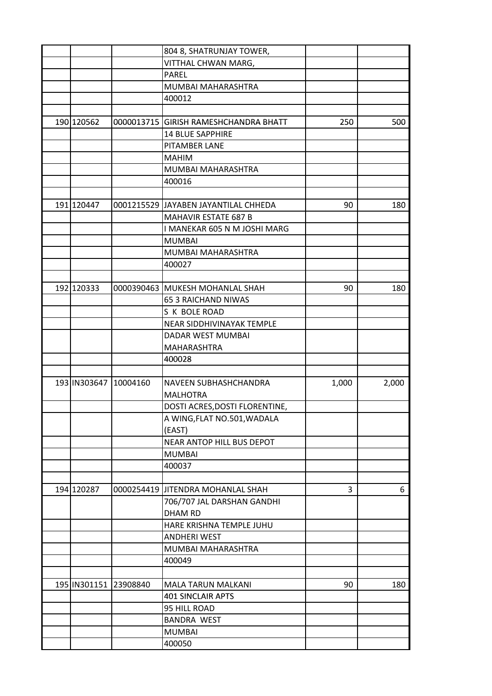|                       |                       | 804 8, SHATRUNJAY TOWER,              |       |       |
|-----------------------|-----------------------|---------------------------------------|-------|-------|
|                       |                       | VITTHAL CHWAN MARG,                   |       |       |
|                       |                       | <b>PAREL</b>                          |       |       |
|                       |                       | MUMBAI MAHARASHTRA                    |       |       |
|                       |                       | 400012                                |       |       |
|                       |                       |                                       |       |       |
| 190 120562            |                       | 0000013715 GIRISH RAMESHCHANDRA BHATT | 250   | 500   |
|                       |                       | <b>14 BLUE SAPPHIRE</b>               |       |       |
|                       |                       | PITAMBER LANE                         |       |       |
|                       |                       | <b>MAHIM</b>                          |       |       |
|                       |                       | MUMBAI MAHARASHTRA                    |       |       |
|                       |                       | 400016                                |       |       |
|                       |                       |                                       |       |       |
|                       |                       |                                       |       |       |
| 191 120447            |                       | 0001215529 JJAYABEN JAYANTILAL CHHEDA | 90    | 180   |
|                       |                       | <b>MAHAVIR ESTATE 687 B</b>           |       |       |
|                       |                       | I MANEKAR 605 N M JOSHI MARG          |       |       |
|                       |                       | <b>MUMBAI</b>                         |       |       |
|                       |                       | MUMBAI MAHARASHTRA                    |       |       |
|                       |                       | 400027                                |       |       |
|                       |                       |                                       |       |       |
| 192 120333            |                       | 0000390463 MUKESH MOHANLAL SHAH       | 90    | 180   |
|                       |                       | <b>65 3 RAICHAND NIWAS</b>            |       |       |
|                       |                       | S K BOLE ROAD                         |       |       |
|                       |                       | NEAR SIDDHIVINAYAK TEMPLE             |       |       |
|                       |                       | DADAR WEST MUMBAI                     |       |       |
|                       |                       | MAHARASHTRA                           |       |       |
|                       |                       | 400028                                |       |       |
|                       |                       |                                       |       |       |
| 193 IN303647 10004160 |                       | NAVEEN SUBHASHCHANDRA                 | 1,000 | 2,000 |
|                       |                       | <b>MALHOTRA</b>                       |       |       |
|                       |                       | DOSTI ACRES, DOSTI FLORENTINE,        |       |       |
|                       |                       | A WING, FLAT NO.501, WADALA           |       |       |
|                       |                       | (EAST)                                |       |       |
|                       |                       | NEAR ANTOP HILL BUS DEPOT             |       |       |
|                       |                       | <b>MUMBAI</b>                         |       |       |
|                       |                       | 400037                                |       |       |
|                       |                       |                                       |       |       |
| 194 120287            |                       | 0000254419 JITENDRA MOHANLAL SHAH     | 3     | 6     |
|                       |                       | 706/707 JAL DARSHAN GANDHI            |       |       |
|                       |                       | <b>DHAM RD</b>                        |       |       |
|                       |                       |                                       |       |       |
|                       |                       | HARE KRISHNA TEMPLE JUHU              |       |       |
|                       |                       | <b>ANDHERI WEST</b>                   |       |       |
|                       |                       | MUMBAI MAHARASHTRA                    |       |       |
|                       |                       | 400049                                |       |       |
|                       |                       |                                       |       |       |
|                       | 195 IN301151 23908840 | <b>MALA TARUN MALKANI</b>             | 90    | 180   |
|                       |                       | <b>401 SINCLAIR APTS</b>              |       |       |
|                       |                       | 95 HILL ROAD                          |       |       |
|                       |                       | <b>BANDRA WEST</b>                    |       |       |
|                       |                       | <b>MUMBAI</b>                         |       |       |
|                       |                       | 400050                                |       |       |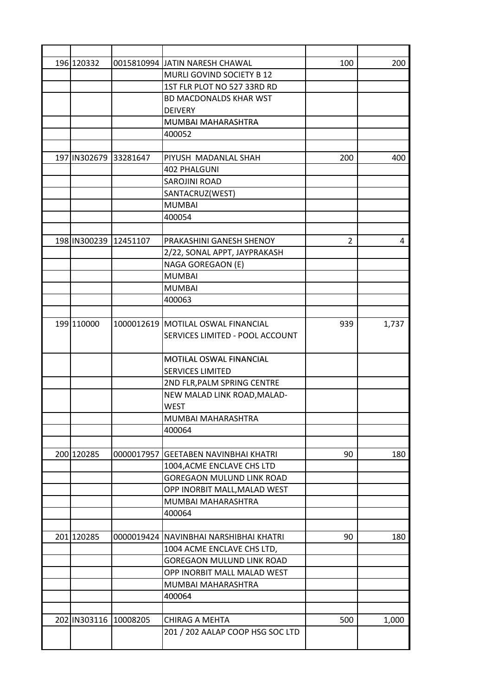| 196 120332            |          | 0015810994 JATIN NARESH CHAWAL          | 100 | 200   |
|-----------------------|----------|-----------------------------------------|-----|-------|
|                       |          | MURLI GOVIND SOCIETY B 12               |     |       |
|                       |          | 1ST FLR PLOT NO 527 33RD RD             |     |       |
|                       |          | BD MACDONALDS KHAR WST                  |     |       |
|                       |          | <b>DEIVERY</b>                          |     |       |
|                       |          | MUMBAI MAHARASHTRA                      |     |       |
|                       |          | 400052                                  |     |       |
|                       |          |                                         |     |       |
| 197 IN302679 33281647 |          | PIYUSH MADANLAL SHAH                    | 200 | 400   |
|                       |          | 402 PHALGUNI                            |     |       |
|                       |          | SAROJINI ROAD                           |     |       |
|                       |          | SANTACRUZ(WEST)                         |     |       |
|                       |          | <b>MUMBAI</b>                           |     |       |
|                       |          | 400054                                  |     |       |
|                       |          |                                         |     |       |
| 198 IN300239 12451107 |          | PRAKASHINI GANESH SHENOY                | 2   | 4     |
|                       |          | 2/22, SONAL APPT, JAYPRAKASH            |     |       |
|                       |          | NAGA GOREGAON (E)                       |     |       |
|                       |          | <b>MUMBAI</b>                           |     |       |
|                       |          | <b>MUMBAI</b>                           |     |       |
|                       |          | 400063                                  |     |       |
|                       |          |                                         |     |       |
| 199 110000            |          | 1000012619 MOTILAL OSWAL FINANCIAL      | 939 | 1,737 |
|                       |          | SERVICES LIMITED - POOL ACCOUNT         |     |       |
|                       |          |                                         |     |       |
|                       |          | MOTILAL OSWAL FINANCIAL                 |     |       |
|                       |          | <b>SERVICES LIMITED</b>                 |     |       |
|                       |          | 2ND FLR, PALM SPRING CENTRE             |     |       |
|                       |          | NEW MALAD LINK ROAD, MALAD-             |     |       |
|                       |          | <b>WEST</b>                             |     |       |
|                       |          |                                         |     |       |
|                       |          | MUMBAI MAHARASHTRA                      |     |       |
|                       |          | 400064                                  |     |       |
|                       |          |                                         |     |       |
| 200 120285            |          | 0000017957 GEETABEN NAVINBHAI KHATRI    | 90  | 180   |
|                       |          | 1004, ACME ENCLAVE CHS LTD              |     |       |
|                       |          | GOREGAON MULUND LINK ROAD               |     |       |
|                       |          | OPP INORBIT MALL, MALAD WEST            |     |       |
|                       |          | MUMBAI MAHARASHTRA                      |     |       |
|                       |          | 400064                                  |     |       |
|                       |          |                                         |     |       |
| 201 120285            |          | 0000019424  NAVINBHAI NARSHIBHAI KHATRI | 90  | 180   |
|                       |          | 1004 ACME ENCLAVE CHS LTD,              |     |       |
|                       |          | GOREGAON MULUND LINK ROAD               |     |       |
|                       |          | OPP INORBIT MALL MALAD WEST             |     |       |
|                       |          | MUMBAI MAHARASHTRA                      |     |       |
|                       |          | 400064                                  |     |       |
|                       |          |                                         |     |       |
| 202 IN303116          | 10008205 | <b>CHIRAG A MEHTA</b>                   | 500 | 1,000 |
|                       |          | 201 / 202 AALAP COOP HSG SOC LTD        |     |       |
|                       |          |                                         |     |       |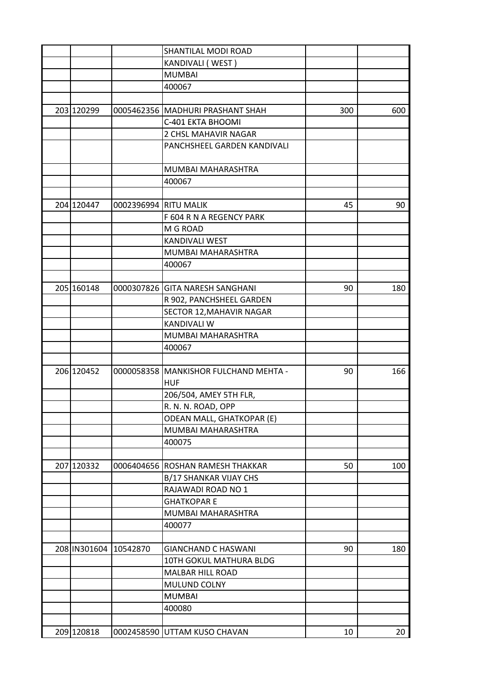|                       |                       | SHANTILAL MODI ROAD                   |     |     |
|-----------------------|-----------------------|---------------------------------------|-----|-----|
|                       |                       | KANDIVALI (WEST)                      |     |     |
|                       |                       | <b>MUMBAI</b>                         |     |     |
|                       |                       | 400067                                |     |     |
|                       |                       |                                       |     |     |
| 203 120299            |                       | 0005462356   MADHURI PRASHANT SHAH    | 300 | 600 |
|                       |                       | C-401 EKTA BHOOMI                     |     |     |
|                       |                       | 2 CHSL MAHAVIR NAGAR                  |     |     |
|                       |                       | PANCHSHEEL GARDEN KANDIVALI           |     |     |
|                       |                       |                                       |     |     |
|                       |                       | MUMBAI MAHARASHTRA                    |     |     |
|                       |                       | 400067                                |     |     |
|                       |                       |                                       |     |     |
| 204 120447            | 0002396994 RITU MALIK |                                       | 45  | 90  |
|                       |                       | F 604 R N A REGENCY PARK              |     |     |
|                       |                       | M G ROAD                              |     |     |
|                       |                       | KANDIVALI WEST                        |     |     |
|                       |                       | MUMBAI MAHARASHTRA                    |     |     |
|                       |                       | 400067                                |     |     |
|                       |                       |                                       |     |     |
| 205 160148            |                       | 0000307826 GITA NARESH SANGHANI       | 90  | 180 |
|                       |                       | R 902, PANCHSHEEL GARDEN              |     |     |
|                       |                       | SECTOR 12, MAHAVIR NAGAR              |     |     |
|                       |                       | <b>KANDIVALI W</b>                    |     |     |
|                       |                       | MUMBAI MAHARASHTRA                    |     |     |
|                       |                       | 400067                                |     |     |
|                       |                       |                                       |     |     |
| 206 120452            |                       | 0000058358 MANKISHOR FULCHAND MEHTA - | 90  | 166 |
|                       |                       | <b>HUF</b>                            |     |     |
|                       |                       | 206/504, AMEY 5TH FLR,                |     |     |
|                       |                       | R. N. N. ROAD, OPP                    |     |     |
|                       |                       | ODEAN MALL, GHATKOPAR (E)             |     |     |
|                       |                       | MUMBAI MAHARASHTRA                    |     |     |
|                       |                       | 400075                                |     |     |
|                       |                       |                                       |     |     |
| 207 120332            |                       | 0006404656 ROSHAN RAMESH THAKKAR      | 50  | 100 |
|                       |                       | B/17 SHANKAR VIJAY CHS                |     |     |
|                       |                       | RAJAWADI ROAD NO 1                    |     |     |
|                       |                       | <b>GHATKOPARE</b>                     |     |     |
|                       |                       | MUMBAI MAHARASHTRA                    |     |     |
|                       |                       | 400077                                |     |     |
|                       |                       |                                       |     |     |
| 208 IN301604 10542870 |                       | GIANCHAND C HASWANI                   | 90  | 180 |
|                       |                       | 10TH GOKUL MATHURA BLDG               |     |     |
|                       |                       | <b>MALBAR HILL ROAD</b>               |     |     |
|                       |                       | MULUND COLNY                          |     |     |
|                       |                       | <b>MUMBAI</b>                         |     |     |
|                       |                       | 400080                                |     |     |
|                       |                       |                                       |     |     |
| 209 120818            |                       | 0002458590 UTTAM KUSO CHAVAN          | 10  | 20  |
|                       |                       |                                       |     |     |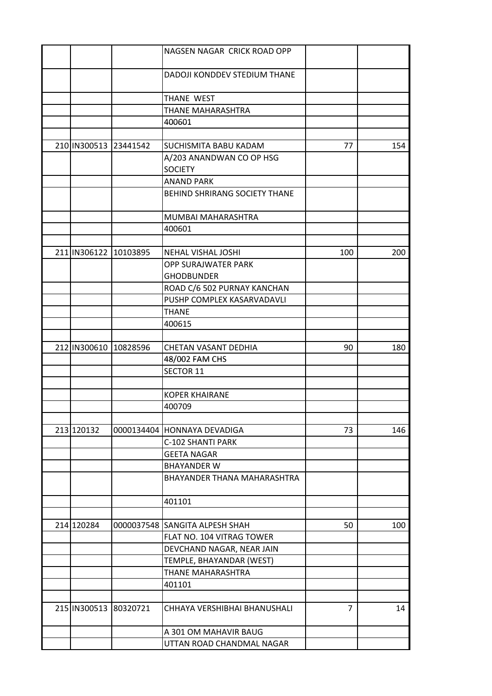|                       |                       | NAGSEN NAGAR CRICK ROAD OPP    |     |     |
|-----------------------|-----------------------|--------------------------------|-----|-----|
|                       |                       | DADOJI KONDDEV STEDIUM THANE   |     |     |
|                       |                       | THANE WEST                     |     |     |
|                       |                       | THANE MAHARASHTRA              |     |     |
|                       |                       | 400601                         |     |     |
|                       |                       |                                |     |     |
| 210 IN300513 23441542 |                       | SUCHISMITA BABU KADAM          | 77  | 154 |
|                       |                       | A/203 ANANDWAN CO OP HSG       |     |     |
|                       |                       | <b>SOCIETY</b>                 |     |     |
|                       |                       | <b>ANAND PARK</b>              |     |     |
|                       |                       | BEHIND SHRIRANG SOCIETY THANE  |     |     |
|                       |                       | MUMBAI MAHARASHTRA             |     |     |
|                       |                       | 400601                         |     |     |
|                       |                       |                                |     |     |
|                       | 211 IN306122 10103895 | NEHAL VISHAL JOSHI             | 100 | 200 |
|                       |                       | <b>OPP SURAJWATER PARK</b>     |     |     |
|                       |                       | <b>GHODBUNDER</b>              |     |     |
|                       |                       | ROAD C/6 502 PURNAY KANCHAN    |     |     |
|                       |                       | PUSHP COMPLEX KASARVADAVLI     |     |     |
|                       |                       | THANE                          |     |     |
|                       |                       | 400615                         |     |     |
|                       |                       |                                |     |     |
|                       | 212 IN300610 10828596 | CHETAN VASANT DEDHIA           | 90  | 180 |
|                       |                       | 48/002 FAM CHS                 |     |     |
|                       |                       | SECTOR 11                      |     |     |
|                       |                       |                                |     |     |
|                       |                       | <b>KOPER KHAIRANE</b>          |     |     |
|                       |                       | 400709                         |     |     |
|                       |                       |                                |     |     |
| 213 120132            |                       | 0000134404 HONNAYA DEVADIGA    | 73  | 146 |
|                       |                       | C-102 SHANTI PARK              |     |     |
|                       |                       | <b>GEETA NAGAR</b>             |     |     |
|                       |                       | <b>BHAYANDER W</b>             |     |     |
|                       |                       | BHAYANDER THANA MAHARASHTRA    |     |     |
|                       |                       | 401101                         |     |     |
|                       |                       |                                |     |     |
| 214 120284            |                       | 0000037548 SANGITA ALPESH SHAH | 50  | 100 |
|                       |                       | FLAT NO. 104 VITRAG TOWER      |     |     |
|                       |                       | DEVCHAND NAGAR, NEAR JAIN      |     |     |
|                       |                       | TEMPLE, BHAYANDAR (WEST)       |     |     |
|                       |                       | THANE MAHARASHTRA              |     |     |
|                       |                       | 401101                         |     |     |
|                       |                       |                                |     |     |
| 215 IN300513 80320721 |                       | CHHAYA VERSHIBHAI BHANUSHALI   | 7   | 14  |
|                       |                       | A 301 OM MAHAVIR BAUG          |     |     |
|                       |                       | UTTAN ROAD CHANDMAL NAGAR      |     |     |
|                       |                       |                                |     |     |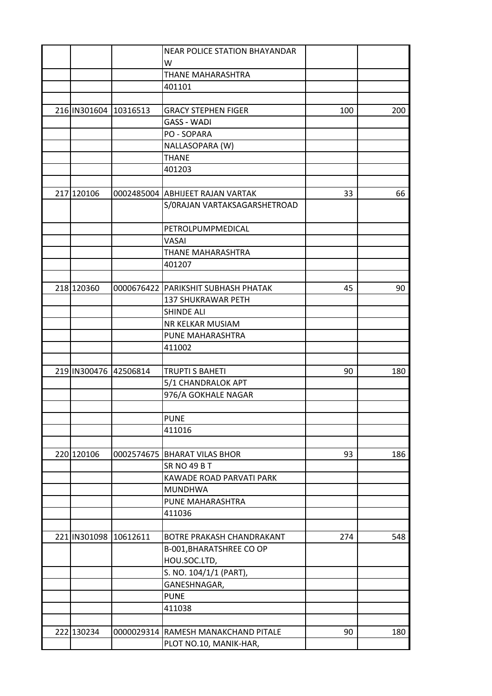|                       | NEAR POLICE STATION BHAYANDAR       |     |     |
|-----------------------|-------------------------------------|-----|-----|
|                       | W                                   |     |     |
|                       | <b>THANE MAHARASHTRA</b>            |     |     |
|                       | 401101                              |     |     |
|                       |                                     |     |     |
| 216 IN301604 10316513 | <b>GRACY STEPHEN FIGER</b>          | 100 | 200 |
|                       | <b>GASS - WADI</b>                  |     |     |
|                       | PO - SOPARA                         |     |     |
|                       | NALLASOPARA (W)                     |     |     |
|                       | <b>THANE</b>                        |     |     |
|                       | 401203                              |     |     |
|                       |                                     |     |     |
| 217 120106            | 0002485004 ABHIJEET RAJAN VARTAK    | 33  | 66  |
|                       | S/ORAJAN VARTAKSAGARSHETROAD        |     |     |
|                       |                                     |     |     |
|                       | PETROLPUMPMEDICAL                   |     |     |
|                       | <b>VASAI</b>                        |     |     |
|                       | THANE MAHARASHTRA                   |     |     |
|                       | 401207                              |     |     |
|                       |                                     |     |     |
| 218 120360            | 0000676422 PARIKSHIT SUBHASH PHATAK | 45  | 90  |
|                       | <b>137 SHUKRAWAR PETH</b>           |     |     |
|                       | <b>SHINDE ALI</b>                   |     |     |
|                       | NR KELKAR MUSIAM                    |     |     |
|                       | PUNE MAHARASHTRA                    |     |     |
|                       | 411002                              |     |     |
|                       |                                     |     |     |
| 219 IN300476 42506814 | <b>TRUPTI S BAHETI</b>              | 90  | 180 |
|                       | 5/1 CHANDRALOK APT                  |     |     |
|                       | 976/A GOKHALE NAGAR                 |     |     |
|                       |                                     |     |     |
|                       | <b>PUNE</b>                         |     |     |
|                       | 411016                              |     |     |
|                       |                                     |     |     |
| 220 120106            | 0002574675 BHARAT VILAS BHOR        | 93  | 186 |
|                       | <b>SR NO 49 B T</b>                 |     |     |
|                       | KAWADE ROAD PARVATI PARK            |     |     |
|                       | <b>MUNDHWA</b>                      |     |     |
|                       | PUNE MAHARASHTRA                    |     |     |
|                       | 411036                              |     |     |
|                       |                                     |     |     |
| 221 IN301098 10612611 | BOTRE PRAKASH CHANDRAKANT           | 274 | 548 |
|                       | B-001, BHARATSHREE CO OP            |     |     |
|                       | HOU.SOC.LTD,                        |     |     |
|                       | S. NO. 104/1/1 (PART),              |     |     |
|                       | GANESHNAGAR,                        |     |     |
|                       | <b>PUNE</b>                         |     |     |
|                       | 411038                              |     |     |
|                       |                                     |     |     |
| 222 130234            | 0000029314 RAMESH MANAKCHAND PITALE | 90  | 180 |
|                       | PLOT NO.10, MANIK-HAR,              |     |     |
|                       |                                     |     |     |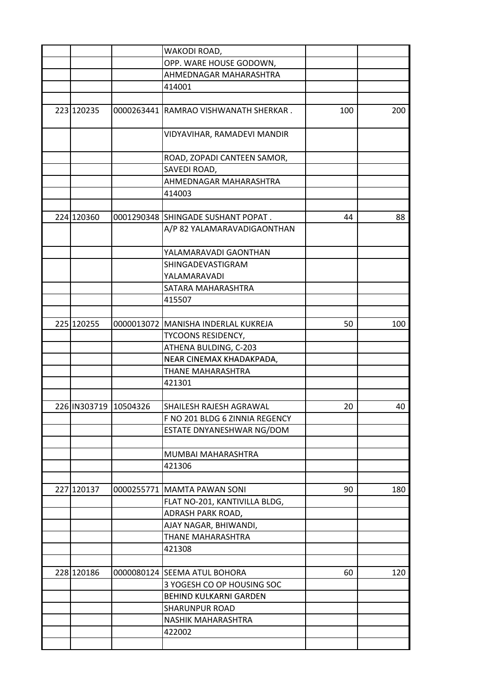|                       | WAKODI ROAD,                          |     |     |
|-----------------------|---------------------------------------|-----|-----|
|                       | OPP. WARE HOUSE GODOWN,               |     |     |
|                       | AHMEDNAGAR MAHARASHTRA                |     |     |
|                       | 414001                                |     |     |
|                       |                                       |     |     |
| 223 120235            | 0000263441 RAMRAO VISHWANATH SHERKAR. | 100 | 200 |
|                       | VIDYAVIHAR, RAMADEVI MANDIR           |     |     |
|                       | ROAD, ZOPADI CANTEEN SAMOR,           |     |     |
|                       | SAVEDI ROAD,                          |     |     |
|                       | AHMEDNAGAR MAHARASHTRA                |     |     |
|                       | 414003                                |     |     |
|                       |                                       |     |     |
| 224 120360            | 0001290348 SHINGADE SUSHANT POPAT.    | 44  | 88  |
|                       | A/P 82 YALAMARAVADIGAONTHAN           |     |     |
|                       |                                       |     |     |
|                       | YALAMARAVADI GAONTHAN                 |     |     |
|                       | SHINGADEVASTIGRAM                     |     |     |
|                       | YALAMARAVADI                          |     |     |
|                       | SATARA MAHARASHTRA                    |     |     |
|                       | 415507                                |     |     |
|                       |                                       |     |     |
| 225 120255            | 0000013072  MANISHA INDERLAL KUKREJA  | 50  | 100 |
|                       | TYCOONS RESIDENCY,                    |     |     |
|                       | ATHENA BULDING, C-203                 |     |     |
|                       | NEAR CINEMAX KHADAKPADA,              |     |     |
|                       | THANE MAHARASHTRA                     |     |     |
|                       | 421301                                |     |     |
|                       |                                       |     |     |
| 226 IN303719 10504326 | SHAILESH RAJESH AGRAWAL               | 20  | 40  |
|                       | F NO 201 BLDG 6 ZINNIA REGENCY        |     |     |
|                       | ESTATE DNYANESHWAR NG/DOM             |     |     |
|                       |                                       |     |     |
|                       | MUMBAI MAHARASHTRA                    |     |     |
|                       | 421306                                |     |     |
|                       |                                       |     |     |
| 227 120137            | 0000255771 MAMTA PAWAN SONI           | 90  | 180 |
|                       | FLAT NO-201, KANTIVILLA BLDG,         |     |     |
|                       | ADRASH PARK ROAD,                     |     |     |
|                       | AJAY NAGAR, BHIWANDI,                 |     |     |
|                       | THANE MAHARASHTRA                     |     |     |
|                       | 421308                                |     |     |
|                       |                                       |     |     |
| 228 120186            | 0000080124 SEEMA ATUL BOHORA          | 60  | 120 |
|                       | 3 YOGESH CO OP HOUSING SOC            |     |     |
|                       | <b>BEHIND KULKARNI GARDEN</b>         |     |     |
|                       | <b>SHARUNPUR ROAD</b>                 |     |     |
|                       | NASHIK MAHARASHTRA                    |     |     |
|                       | 422002                                |     |     |
|                       |                                       |     |     |
|                       |                                       |     |     |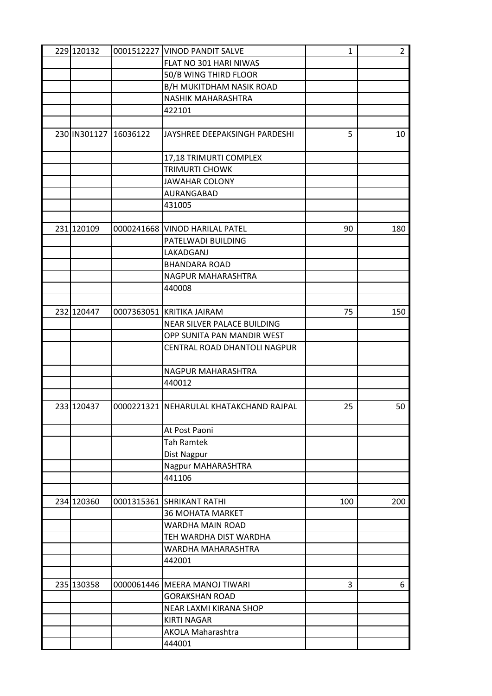| 229 120132            | 0001512227 VINOD PANDIT SALVE           | 1   | $\mathbf{2}$ |
|-----------------------|-----------------------------------------|-----|--------------|
|                       | FLAT NO 301 HARI NIWAS                  |     |              |
|                       | 50/B WING THIRD FLOOR                   |     |              |
|                       | B/H MUKITDHAM NASIK ROAD                |     |              |
|                       | NASHIK MAHARASHTRA                      |     |              |
|                       | 422101                                  |     |              |
|                       |                                         |     |              |
| 230 IN301127 16036122 | JAYSHREE DEEPAKSINGH PARDESHI           | 5   | 10           |
|                       | 17,18 TRIMURTI COMPLEX                  |     |              |
|                       | <b>TRIMURTI CHOWK</b>                   |     |              |
|                       | <b>JAWAHAR COLONY</b>                   |     |              |
|                       | AURANGABAD                              |     |              |
|                       | 431005                                  |     |              |
|                       |                                         |     |              |
| 231 120109            | 0000241668 VINOD HARILAL PATEL          | 90  | 180          |
|                       | PATELWADI BUILDING                      |     |              |
|                       | LAKADGANJ                               |     |              |
|                       | <b>BHANDARA ROAD</b>                    |     |              |
|                       | NAGPUR MAHARASHTRA                      |     |              |
|                       | 440008                                  |     |              |
|                       |                                         |     |              |
| 232 120447            | 0007363051 KRITIKA JAIRAM               | 75  | 150          |
|                       | NEAR SILVER PALACE BUILDING             |     |              |
|                       | OPP SUNITA PAN MANDIR WEST              |     |              |
|                       |                                         |     |              |
|                       | CENTRAL ROAD DHANTOLI NAGPUR            |     |              |
|                       | NAGPUR MAHARASHTRA                      |     |              |
|                       | 440012                                  |     |              |
|                       |                                         |     |              |
| 233 120437            | 0000221321 NEHARULAL KHATAKCHAND RAJPAL | 25  | 50           |
|                       | At Post Paoni                           |     |              |
|                       | <b>Tah Ramtek</b>                       |     |              |
|                       | Dist Nagpur                             |     |              |
|                       | Nagpur MAHARASHTRA                      |     |              |
|                       | 441106                                  |     |              |
|                       |                                         |     |              |
| 234 120360            | 0001315361 SHRIKANT RATHI               | 100 | 200          |
|                       | <b>36 MOHATA MARKET</b>                 |     |              |
|                       | WARDHA MAIN ROAD                        |     |              |
|                       | TEH WARDHA DIST WARDHA                  |     |              |
|                       | WARDHA MAHARASHTRA                      |     |              |
|                       |                                         |     |              |
|                       | 442001                                  |     |              |
| 235 130358            | 0000061446   MEERA MANOJ TIWARI         | 3   | 6            |
|                       | <b>GORAKSHAN ROAD</b>                   |     |              |
|                       |                                         |     |              |
|                       | NEAR LAXMI KIRANA SHOP                  |     |              |
|                       | <b>KIRTI NAGAR</b>                      |     |              |
|                       | <b>AKOLA Maharashtra</b>                |     |              |
|                       | 444001                                  |     |              |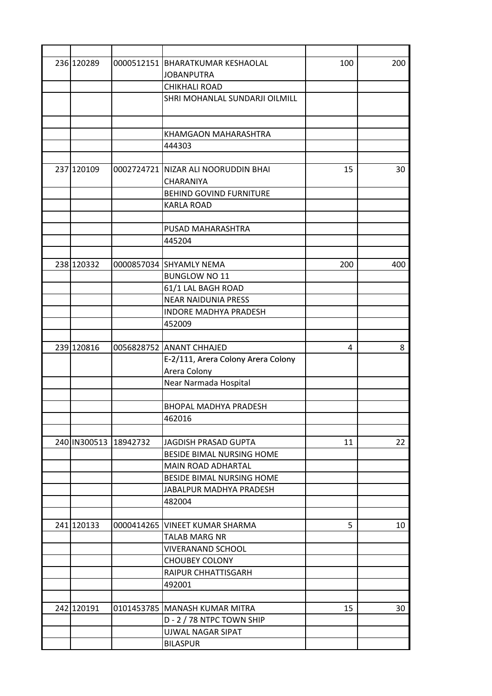| 236 120289            | 0000512151 BHARATKUMAR KESHAOLAL    | 100 | 200 |
|-----------------------|-------------------------------------|-----|-----|
|                       | <b>JOBANPUTRA</b>                   |     |     |
|                       | <b>CHIKHALI ROAD</b>                |     |     |
|                       | SHRI MOHANLAL SUNDARJI OILMILL      |     |     |
|                       |                                     |     |     |
|                       |                                     |     |     |
|                       | KHAMGAON MAHARASHTRA                |     |     |
|                       | 444303                              |     |     |
|                       |                                     |     |     |
| 237 120109            | 0002724721 NIZAR ALI NOORUDDIN BHAI | 15  | 30  |
|                       | CHARANIYA                           |     |     |
|                       | <b>BEHIND GOVIND FURNITURE</b>      |     |     |
|                       | <b>KARLA ROAD</b>                   |     |     |
|                       |                                     |     |     |
|                       | PUSAD MAHARASHTRA                   |     |     |
|                       | 445204                              |     |     |
| 238 120332            | 0000857034 SHYAMLY NEMA             | 200 | 400 |
|                       | <b>BUNGLOW NO 11</b>                |     |     |
|                       | 61/1 LAL BAGH ROAD                  |     |     |
|                       | <b>NEAR NAIDUNIA PRESS</b>          |     |     |
|                       | <b>INDORE MADHYA PRADESH</b>        |     |     |
|                       | 452009                              |     |     |
|                       |                                     |     |     |
| 239 120816            | 0056828752 ANANT CHHAJED            | 4   | 8   |
|                       | E-2/111, Arera Colony Arera Colony  |     |     |
|                       | Arera Colony                        |     |     |
|                       | Near Narmada Hospital               |     |     |
|                       |                                     |     |     |
|                       | <b>BHOPAL MADHYA PRADESH</b>        |     |     |
|                       | 462016                              |     |     |
|                       |                                     |     |     |
| 240 IN300513 18942732 | JAGDISH PRASAD GUPTA                | 11  | 22  |
|                       | <b>BESIDE BIMAL NURSING HOME</b>    |     |     |
|                       | MAIN ROAD ADHARTAL                  |     |     |
|                       | BESIDE BIMAL NURSING HOME           |     |     |
|                       | JABALPUR MADHYA PRADESH             |     |     |
|                       | 482004                              |     |     |
|                       |                                     |     |     |
| 241 120133            | 0000414265 VINEET KUMAR SHARMA      | 5   | 10  |
|                       | <b>TALAB MARG NR</b>                |     |     |
|                       | <b>VIVERANAND SCHOOL</b>            |     |     |
|                       | <b>CHOUBEY COLONY</b>               |     |     |
|                       | RAIPUR CHHATTISGARH                 |     |     |
|                       | 492001                              |     |     |
|                       |                                     |     |     |
| 242 120191            | 0101453785 MANASH KUMAR MITRA       | 15  | 30  |
|                       | D - 2 / 78 NTPC TOWN SHIP           |     |     |
|                       | UJWAL NAGAR SIPAT                   |     |     |
|                       | <b>BILASPUR</b>                     |     |     |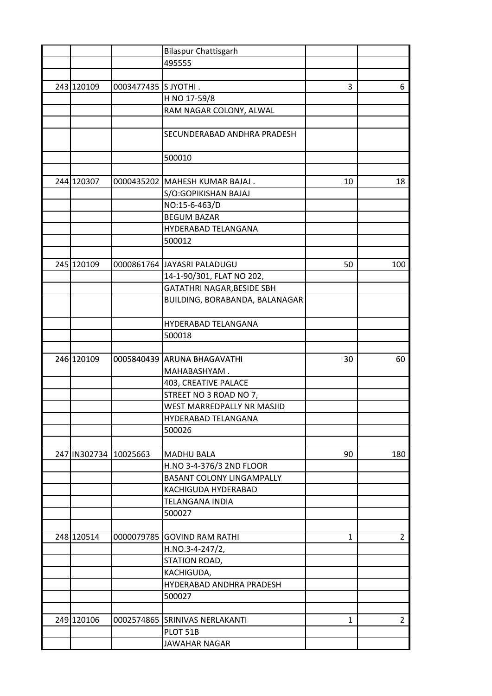|                       |                      | <b>Bilaspur Chattisgarh</b>      |              |                |
|-----------------------|----------------------|----------------------------------|--------------|----------------|
|                       |                      | 495555                           |              |                |
|                       |                      |                                  |              |                |
| 243 120109            | 0003477435 S JYOTHI. |                                  | 3            | 6              |
|                       |                      | H NO 17-59/8                     |              |                |
|                       |                      | RAM NAGAR COLONY, ALWAL          |              |                |
|                       |                      |                                  |              |                |
|                       |                      | SECUNDERABAD ANDHRA PRADESH      |              |                |
|                       |                      | 500010                           |              |                |
|                       |                      |                                  |              |                |
| 244 120307            |                      | 0000435202 MAHESH KUMAR BAJAJ.   | 10           | 18             |
|                       |                      | S/O:GOPIKISHAN BAJAJ             |              |                |
|                       |                      | NO:15-6-463/D                    |              |                |
|                       |                      | <b>BEGUM BAZAR</b>               |              |                |
|                       |                      | HYDERABAD TELANGANA              |              |                |
|                       |                      | 500012                           |              |                |
|                       |                      |                                  |              |                |
|                       |                      |                                  |              |                |
| 245 120109            |                      | 0000861764 JJAYASRI PALADUGU     | 50           | 100            |
|                       |                      | 14-1-90/301, FLAT NO 202,        |              |                |
|                       |                      | GATATHRI NAGAR, BESIDE SBH       |              |                |
|                       |                      | BUILDING, BORABANDA, BALANAGAR   |              |                |
|                       |                      | HYDERABAD TELANGANA              |              |                |
|                       |                      | 500018                           |              |                |
|                       |                      |                                  |              |                |
| 246 120109            |                      | 0005840439 ARUNA BHAGAVATHI      | 30           | 60             |
|                       |                      | MAHABASHYAM.                     |              |                |
|                       |                      | 403, CREATIVE PALACE             |              |                |
|                       |                      | STREET NO 3 ROAD NO 7,           |              |                |
|                       |                      | WEST MARREDPALLY NR MASJID       |              |                |
|                       |                      | HYDERABAD TELANGANA              |              |                |
|                       |                      | 500026                           |              |                |
|                       |                      |                                  |              |                |
| 247 IN302734 10025663 |                      | <b>MADHU BALA</b>                | 90           | 180            |
|                       |                      | H.NO 3-4-376/3 2ND FLOOR         |              |                |
|                       |                      | <b>BASANT COLONY LINGAMPALLY</b> |              |                |
|                       |                      | KACHIGUDA HYDERABAD              |              |                |
|                       |                      | <b>TELANGANA INDIA</b>           |              |                |
|                       |                      | 500027                           |              |                |
|                       |                      |                                  |              |                |
| 248 120514            |                      |                                  |              |                |
|                       |                      | 0000079785 GOVIND RAM RATHI      | $\mathbf{1}$ | $\overline{2}$ |
|                       |                      | H.NO.3-4-247/2,                  |              |                |
|                       |                      | STATION ROAD,                    |              |                |
|                       |                      | KACHIGUDA,                       |              |                |
|                       |                      | HYDERABAD ANDHRA PRADESH         |              |                |
|                       |                      | 500027                           |              |                |
|                       |                      |                                  |              |                |
| 249 120106            |                      | 0002574865 SRINIVAS NERLAKANTI   | $\mathbf{1}$ | $\overline{2}$ |
|                       |                      | PLOT 51B                         |              |                |
|                       |                      | <b>JAWAHAR NAGAR</b>             |              |                |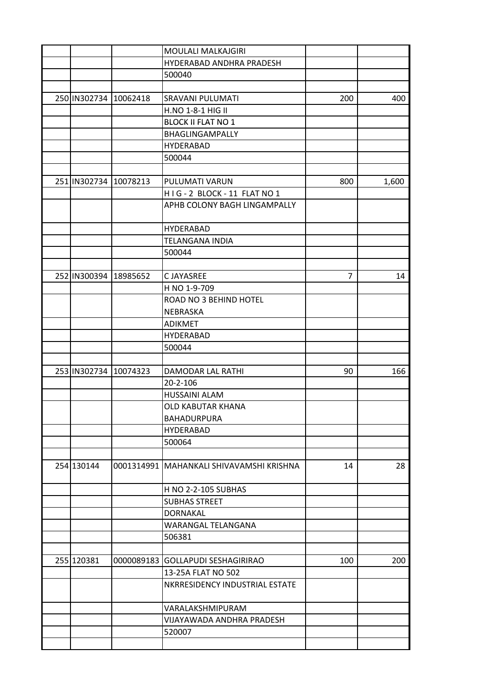|                       | MOULALI MALKAJGIRI                         |     |       |
|-----------------------|--------------------------------------------|-----|-------|
|                       | HYDERABAD ANDHRA PRADESH                   |     |       |
|                       | 500040                                     |     |       |
|                       |                                            |     |       |
| 250 IN302734 10062418 | SRAVANI PULUMATI                           | 200 | 400   |
|                       | H.NO 1-8-1 HIG II                          |     |       |
|                       | <b>BLOCK II FLAT NO 1</b>                  |     |       |
|                       | BHAGLINGAMPALLY                            |     |       |
|                       | <b>HYDERABAD</b>                           |     |       |
|                       | 500044                                     |     |       |
|                       |                                            |     |       |
| 251 IN302734 10078213 | PULUMATI VARUN                             | 800 | 1,600 |
|                       | HIG-2 BLOCK-11 FLAT NO 1                   |     |       |
|                       | APHB COLONY BAGH LINGAMPALLY               |     |       |
|                       |                                            |     |       |
|                       | <b>HYDERABAD</b>                           |     |       |
|                       | <b>TELANGANA INDIA</b>                     |     |       |
|                       | 500044                                     |     |       |
|                       |                                            |     |       |
| 252 IN300394 18985652 | C JAYASREE                                 | 7   | 14    |
|                       | H NO 1-9-709                               |     |       |
|                       | ROAD NO 3 BEHIND HOTEL                     |     |       |
|                       | NEBRASKA                                   |     |       |
|                       | <b>ADIKMET</b>                             |     |       |
|                       | <b>HYDERABAD</b>                           |     |       |
|                       | 500044                                     |     |       |
|                       |                                            |     |       |
| 253 IN302734 10074323 | <b>DAMODAR LAL RATHI</b>                   | 90  | 166   |
|                       | 20-2-106                                   |     |       |
|                       | <b>HUSSAINI ALAM</b>                       |     |       |
|                       | OLD KABUTAR KHANA                          |     |       |
|                       | <b>BAHADURPURA</b>                         |     |       |
|                       | <b>HYDERABAD</b>                           |     |       |
|                       | 500064                                     |     |       |
|                       |                                            |     |       |
| 254 130144            | 0001314991   MAHANKALI SHIVAVAMSHI KRISHNA | 14  | 28    |
|                       |                                            |     |       |
|                       | H NO 2-2-105 SUBHAS                        |     |       |
|                       | <b>SUBHAS STREET</b>                       |     |       |
|                       | <b>DORNAKAL</b>                            |     |       |
|                       | WARANGAL TELANGANA                         |     |       |
|                       | 506381                                     |     |       |
|                       |                                            |     |       |
| 255 120381            | 0000089183 GOLLAPUDI SESHAGIRIRAO          | 100 | 200   |
|                       | 13-25A FLAT NO 502                         |     |       |
|                       | NKRRESIDENCY INDUSTRIAL ESTATE             |     |       |
|                       |                                            |     |       |
|                       | VARALAKSHMIPURAM                           |     |       |
|                       | VIJAYAWADA ANDHRA PRADESH                  |     |       |
|                       | 520007                                     |     |       |
|                       |                                            |     |       |
|                       |                                            |     |       |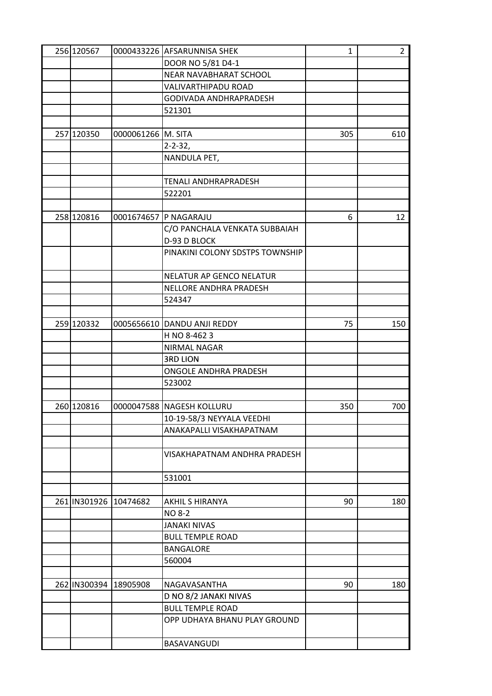| 256 120567            |                    | 0000433226 AFSARUNNISA SHEK     | $\mathbf{1}$ | $\overline{2}$ |
|-----------------------|--------------------|---------------------------------|--------------|----------------|
|                       |                    | DOOR NO 5/81 D4-1               |              |                |
|                       |                    | NEAR NAVABHARAT SCHOOL          |              |                |
|                       |                    | VALIVARTHIPADU ROAD             |              |                |
|                       |                    | GODIVADA ANDHRAPRADESH          |              |                |
|                       |                    | 521301                          |              |                |
|                       |                    |                                 |              |                |
| 257 120350            | 0000061266 M. SITA |                                 | 305          | 610            |
|                       |                    | $2 - 2 - 32$                    |              |                |
|                       |                    | NANDULA PET,                    |              |                |
|                       |                    |                                 |              |                |
|                       |                    | <b>TENALI ANDHRAPRADESH</b>     |              |                |
|                       |                    | 522201                          |              |                |
|                       |                    |                                 |              |                |
| 258 120816            |                    | 0001674657 P NAGARAJU           | 6            | 12             |
|                       |                    |                                 |              |                |
|                       |                    | C/O PANCHALA VENKATA SUBBAIAH   |              |                |
|                       |                    | D-93 D BLOCK                    |              |                |
|                       |                    | PINAKINI COLONY SDSTPS TOWNSHIP |              |                |
|                       |                    |                                 |              |                |
|                       |                    | NELATUR AP GENCO NELATUR        |              |                |
|                       |                    | NELLORE ANDHRA PRADESH          |              |                |
|                       |                    | 524347                          |              |                |
|                       |                    |                                 |              |                |
| 259 120332            |                    | 0005656610 DANDU ANJI REDDY     | 75           | 150            |
|                       |                    | H NO 8-4623                     |              |                |
|                       |                    | NIRMAL NAGAR                    |              |                |
|                       |                    | <b>3RD LION</b>                 |              |                |
|                       |                    | ONGOLE ANDHRA PRADESH           |              |                |
|                       |                    | 523002                          |              |                |
|                       |                    |                                 |              |                |
| 260 120816            |                    | 0000047588 NAGESH KOLLURU       | 350          | 700            |
|                       |                    | 10-19-58/3 NEYYALA VEEDHI       |              |                |
|                       |                    | ANAKAPALLI VISAKHAPATNAM        |              |                |
|                       |                    |                                 |              |                |
|                       |                    | VISAKHAPATNAM ANDHRA PRADESH    |              |                |
|                       |                    |                                 |              |                |
|                       |                    | 531001                          |              |                |
|                       |                    |                                 |              |                |
| 261 IN301926 10474682 |                    | AKHIL S HIRANYA                 | 90           | 180            |
|                       |                    | NO 8-2                          |              |                |
|                       |                    | <b>JANAKI NIVAS</b>             |              |                |
|                       |                    | <b>BULL TEMPLE ROAD</b>         |              |                |
|                       |                    | <b>BANGALORE</b>                |              |                |
|                       |                    | 560004                          |              |                |
|                       |                    |                                 |              |                |
| 262 IN300394 18905908 |                    | NAGAVASANTHA                    | 90           | 180            |
|                       |                    | D NO 8/2 JANAKI NIVAS           |              |                |
|                       |                    | <b>BULL TEMPLE ROAD</b>         |              |                |
|                       |                    | OPP UDHAYA BHANU PLAY GROUND    |              |                |
|                       |                    |                                 |              |                |
|                       |                    | BASAVANGUDI                     |              |                |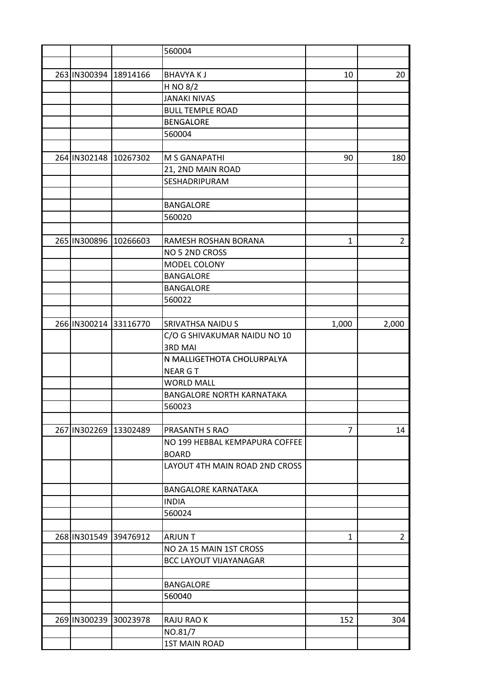|                       |                       | 560004                           |                |                |
|-----------------------|-----------------------|----------------------------------|----------------|----------------|
|                       |                       |                                  |                |                |
| 263 IN300394 18914166 |                       | <b>BHAVYAKJ</b>                  | 10             | 20             |
|                       |                       | H NO 8/2                         |                |                |
|                       |                       | <b>JANAKI NIVAS</b>              |                |                |
|                       |                       | <b>BULL TEMPLE ROAD</b>          |                |                |
|                       |                       | <b>BENGALORE</b>                 |                |                |
|                       |                       | 560004                           |                |                |
|                       |                       |                                  |                |                |
| 264 IN302148 10267302 |                       | M S GANAPATHI                    | 90             | 180            |
|                       |                       | 21, 2ND MAIN ROAD                |                |                |
|                       |                       | SESHADRIPURAM                    |                |                |
|                       |                       |                                  |                |                |
|                       |                       | <b>BANGALORE</b>                 |                |                |
|                       |                       | 560020                           |                |                |
|                       |                       |                                  |                |                |
| 265 IN300896 10266603 |                       | RAMESH ROSHAN BORANA             | 1              | $\overline{2}$ |
|                       |                       | NO 5 2ND CROSS                   |                |                |
|                       |                       | MODEL COLONY                     |                |                |
|                       |                       | <b>BANGALORE</b>                 |                |                |
|                       |                       | <b>BANGALORE</b>                 |                |                |
|                       |                       | 560022                           |                |                |
|                       |                       |                                  |                |                |
| 266 IN300214 33116770 |                       | <b>SRIVATHSA NAIDU S</b>         | 1,000          | 2,000          |
|                       |                       | C/O G SHIVAKUMAR NAIDU NO 10     |                |                |
|                       |                       | 3RD MAI                          |                |                |
|                       |                       | N MALLIGETHOTA CHOLURPALYA       |                |                |
|                       |                       | <b>NEAR GT</b>                   |                |                |
|                       |                       | <b>WORLD MALL</b>                |                |                |
|                       |                       | <b>BANGALORE NORTH KARNATAKA</b> |                |                |
|                       |                       | 560023                           |                |                |
|                       |                       |                                  |                |                |
|                       | 267 IN302269 13302489 | <b>PRASANTH S RAO</b>            | $\overline{7}$ | 14             |
|                       |                       | NO 199 HEBBAL KEMPAPURA COFFEE   |                |                |
|                       |                       | <b>BOARD</b>                     |                |                |
|                       |                       | LAYOUT 4TH MAIN ROAD 2ND CROSS   |                |                |
|                       |                       |                                  |                |                |
|                       |                       | <b>BANGALORE KARNATAKA</b>       |                |                |
|                       |                       | <b>INDIA</b>                     |                |                |
|                       |                       | 560024                           |                |                |
|                       |                       |                                  |                |                |
| 268 IN301549 39476912 |                       | <b>ARJUNT</b>                    | 1              | $\overline{2}$ |
|                       |                       | NO 2A 15 MAIN 1ST CROSS          |                |                |
|                       |                       | BCC LAYOUT VIJAYANAGAR           |                |                |
|                       |                       |                                  |                |                |
|                       |                       | <b>BANGALORE</b>                 |                |                |
|                       |                       | 560040                           |                |                |
|                       |                       |                                  |                |                |
| 269 IN300239 30023978 |                       | RAJU RAO K                       | 152            | 304            |
|                       |                       | NO.81/7                          |                |                |
|                       |                       | <b>1ST MAIN ROAD</b>             |                |                |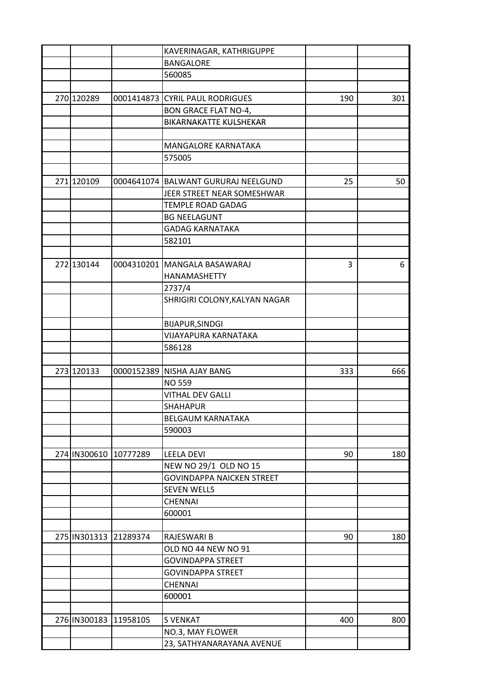|                       |          | KAVERINAGAR, KATHRIGUPPE            |     |     |
|-----------------------|----------|-------------------------------------|-----|-----|
|                       |          | <b>BANGALORE</b>                    |     |     |
|                       |          | 560085                              |     |     |
|                       |          |                                     |     |     |
| 270 120289            |          | 0001414873 CYRIL PAUL RODRIGUES     | 190 | 301 |
|                       |          | <b>BON GRACE FLAT NO-4,</b>         |     |     |
|                       |          | <b>BIKARNAKATTE KULSHEKAR</b>       |     |     |
|                       |          |                                     |     |     |
|                       |          | MANGALORE KARNATAKA                 |     |     |
|                       |          | 575005                              |     |     |
|                       |          |                                     |     |     |
| 271 120109            |          | 0004641074 BALWANT GURURAJ NEELGUND | 25  | 50  |
|                       |          | JEER STREET NEAR SOMESHWAR          |     |     |
|                       |          | TEMPLE ROAD GADAG                   |     |     |
|                       |          | <b>BG NEELAGUNT</b>                 |     |     |
|                       |          | <b>GADAG KARNATAKA</b>              |     |     |
|                       |          | 582101                              |     |     |
|                       |          |                                     |     |     |
| 272 130144            |          | 0004310201   MANGALA BASAWARAJ      | 3   | 6   |
|                       |          | HANAMASHETTY                        |     |     |
|                       |          |                                     |     |     |
|                       |          | 2737/4                              |     |     |
|                       |          | SHRIGIRI COLONY, KALYAN NAGAR       |     |     |
|                       |          | BIJAPUR, SINDGI                     |     |     |
|                       |          | VIJAYAPURA KARNATAKA                |     |     |
|                       |          | 586128                              |     |     |
|                       |          |                                     |     |     |
| 273 120133            |          | 0000152389 NISHA AJAY BANG          | 333 | 666 |
|                       |          | <b>NO 559</b>                       |     |     |
|                       |          | <b>VITHAL DEV GALLI</b>             |     |     |
|                       |          | <b>SHAHAPUR</b>                     |     |     |
|                       |          | BELGAUM KARNATAKA                   |     |     |
|                       |          | 590003                              |     |     |
|                       |          |                                     |     |     |
| 274 IN300610 10777289 |          | <b>LEELA DEVI</b>                   | 90  | 180 |
|                       |          | NEW NO 29/1 OLD NO 15               |     |     |
|                       |          | <b>GOVINDAPPA NAICKEN STREET</b>    |     |     |
|                       |          | <b>SEVEN WELLS</b>                  |     |     |
|                       |          | <b>CHENNAI</b>                      |     |     |
|                       |          |                                     |     |     |
|                       |          | 600001                              |     |     |
| 275 IN301313          | 21289374 | RAJESWARI B                         | 90  | 180 |
|                       |          | OLD NO 44 NEW NO 91                 |     |     |
|                       |          |                                     |     |     |
|                       |          | <b>GOVINDAPPA STREET</b>            |     |     |
|                       |          | <b>GOVINDAPPA STREET</b>            |     |     |
|                       |          | <b>CHENNAI</b>                      |     |     |
|                       |          | 600001                              |     |     |
|                       |          |                                     |     |     |
| 276 IN300183          | 11958105 | <b>S VENKAT</b>                     | 400 | 800 |
|                       |          | NO.3, MAY FLOWER                    |     |     |
|                       |          | 23, SATHYANARAYANA AVENUE           |     |     |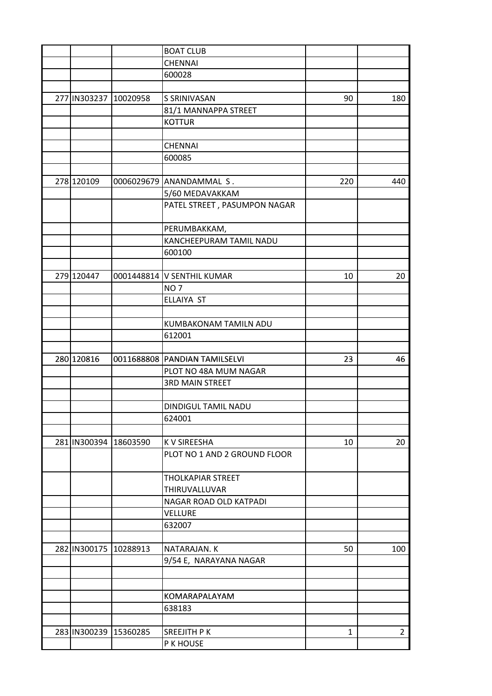|                       |          | <b>BOAT CLUB</b>              |     |                |
|-----------------------|----------|-------------------------------|-----|----------------|
|                       |          | <b>CHENNAI</b>                |     |                |
|                       |          | 600028                        |     |                |
|                       |          |                               |     |                |
| 277 IN303237          | 10020958 | S SRINIVASAN                  | 90  | 180            |
|                       |          | 81/1 MANNAPPA STREET          |     |                |
|                       |          | <b>KOTTUR</b>                 |     |                |
|                       |          |                               |     |                |
|                       |          | <b>CHENNAI</b>                |     |                |
|                       |          | 600085                        |     |                |
|                       |          |                               |     |                |
| 278 120109            |          | 0006029679 ANANDAMMAL S.      | 220 | 440            |
|                       |          |                               |     |                |
|                       |          | 5/60 MEDAVAKKAM               |     |                |
|                       |          | PATEL STREET, PASUMPON NAGAR  |     |                |
|                       |          |                               |     |                |
|                       |          | PERUMBAKKAM,                  |     |                |
|                       |          | KANCHEEPURAM TAMIL NADU       |     |                |
|                       |          | 600100                        |     |                |
|                       |          |                               |     |                |
| 279 120447            |          | 0001448814 V SENTHIL KUMAR    | 10  | 20             |
|                       |          | NO <sub>7</sub>               |     |                |
|                       |          | <b>ELLAIYA ST</b>             |     |                |
|                       |          |                               |     |                |
|                       |          | KUMBAKONAM TAMILN ADU         |     |                |
|                       |          | 612001                        |     |                |
|                       |          |                               |     |                |
| 280 120816            |          | 0011688808 PANDIAN TAMILSELVI | 23  | 46             |
|                       |          | PLOT NO 48A MUM NAGAR         |     |                |
|                       |          | <b>3RD MAIN STREET</b>        |     |                |
|                       |          |                               |     |                |
|                       |          | DINDIGUL TAMIL NADU           |     |                |
|                       |          | 624001                        |     |                |
|                       |          |                               |     |                |
| 281 IN300394 18603590 |          | K V SIREESHA                  | 10  | 20             |
|                       |          | PLOT NO 1 AND 2 GROUND FLOOR  |     |                |
|                       |          |                               |     |                |
|                       |          | <b>THOLKAPIAR STREET</b>      |     |                |
|                       |          | THIRUVALLUVAR                 |     |                |
|                       |          |                               |     |                |
|                       |          | NAGAR ROAD OLD KATPADI        |     |                |
|                       |          | <b>VELLURE</b>                |     |                |
|                       |          | 632007                        |     |                |
|                       |          |                               |     |                |
| 282 IN300175 10288913 |          | NATARAJAN. K                  | 50  | 100            |
|                       |          | 9/54 E, NARAYANA NAGAR        |     |                |
|                       |          |                               |     |                |
|                       |          |                               |     |                |
|                       |          | KOMARAPALAYAM                 |     |                |
|                       |          | 638183                        |     |                |
|                       |          |                               |     |                |
| 283 IN300239 15360285 |          | SREEJITH P K                  | 1   | $\overline{2}$ |
|                       |          | P K HOUSE                     |     |                |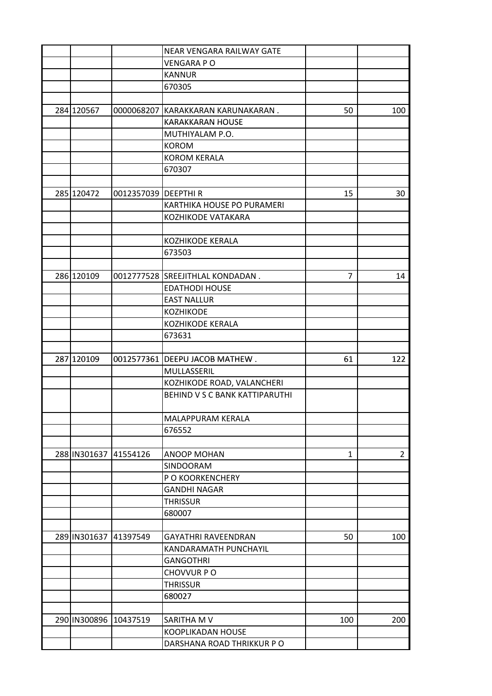|                       |                       | NEAR VENGARA RAILWAY GATE          |     |                |
|-----------------------|-----------------------|------------------------------------|-----|----------------|
|                       |                       | <b>VENGARA PO</b>                  |     |                |
|                       |                       | <b>KANNUR</b>                      |     |                |
|                       |                       | 670305                             |     |                |
|                       |                       |                                    |     |                |
| 284 120567            |                       | 0000068207 KARAKKARAN KARUNAKARAN. | 50  | 100            |
|                       |                       | <b>KARAKKARAN HOUSE</b>            |     |                |
|                       |                       | MUTHIYALAM P.O.                    |     |                |
|                       |                       | <b>KOROM</b>                       |     |                |
|                       |                       | <b>KOROM KERALA</b>                |     |                |
|                       |                       | 670307                             |     |                |
|                       |                       |                                    |     |                |
| 285 120472            | 0012357039 DEEPTHI R  |                                    | 15  | 30             |
|                       |                       | KARTHIKA HOUSE PO PURAMERI         |     |                |
|                       |                       | <b>KOZHIKODE VATAKARA</b>          |     |                |
|                       |                       |                                    |     |                |
|                       |                       | KOZHIKODE KERALA                   |     |                |
|                       |                       | 673503                             |     |                |
|                       |                       |                                    |     |                |
| 286 120109            |                       | 0012777528 SREEJITHLAL KONDADAN.   | 7   | 14             |
|                       |                       | <b>EDATHODI HOUSE</b>              |     |                |
|                       |                       | <b>EAST NALLUR</b>                 |     |                |
|                       |                       | <b>KOZHIKODE</b>                   |     |                |
|                       |                       | KOZHIKODE KERALA                   |     |                |
|                       |                       | 673631                             |     |                |
|                       |                       |                                    |     |                |
| 287 120109            |                       | 0012577361 DEEPU JACOB MATHEW.     | 61  | 122            |
|                       |                       | MULLASSERIL                        |     |                |
|                       |                       | KOZHIKODE ROAD, VALANCHERI         |     |                |
|                       |                       | BEHIND V S C BANK KATTIPARUTHI     |     |                |
|                       |                       |                                    |     |                |
|                       |                       | MALAPPURAM KERALA                  |     |                |
|                       |                       | 676552                             |     |                |
|                       |                       |                                    |     |                |
|                       | 288 IN301637 41554126 |                                    |     | $\overline{2}$ |
|                       |                       | <b>ANOOP MOHAN</b>                 | 1   |                |
|                       |                       | SINDOORAM<br>P O KOORKENCHERY      |     |                |
|                       |                       |                                    |     |                |
|                       |                       | <b>GANDHI NAGAR</b>                |     |                |
|                       |                       | THRISSUR                           |     |                |
|                       |                       | 680007                             |     |                |
|                       |                       |                                    |     |                |
|                       | 289 IN301637 41397549 | <b>GAYATHRI RAVEENDRAN</b>         | 50  | 100            |
|                       |                       | KANDARAMATH PUNCHAYIL              |     |                |
|                       |                       | <b>GANGOTHRI</b>                   |     |                |
|                       |                       | <b>CHOVVUR PO</b>                  |     |                |
|                       |                       | <b>THRISSUR</b>                    |     |                |
|                       |                       | 680027                             |     |                |
|                       |                       |                                    |     |                |
| 290 IN300896 10437519 |                       | SARITHA M V                        | 100 | 200            |
|                       |                       | KOOPLIKADAN HOUSE                  |     |                |
|                       |                       | DARSHANA ROAD THRIKKUR PO          |     |                |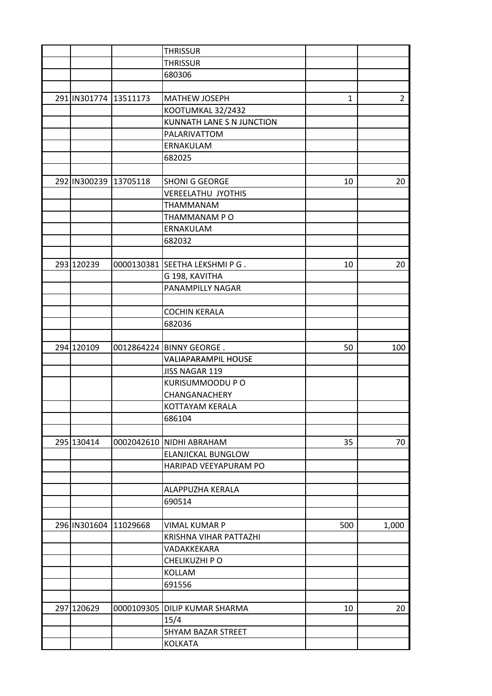|                       | <b>THRISSUR</b>                    |              |                |
|-----------------------|------------------------------------|--------------|----------------|
|                       | <b>THRISSUR</b>                    |              |                |
|                       | 680306                             |              |                |
|                       |                                    |              |                |
| 291 IN301774 13511173 | <b>MATHEW JOSEPH</b>               | $\mathbf{1}$ | $\overline{2}$ |
|                       | KOOTUMKAL 32/2432                  |              |                |
|                       | KUNNATH LANE S N JUNCTION          |              |                |
|                       | PALARIVATTOM                       |              |                |
|                       | ERNAKULAM                          |              |                |
|                       | 682025                             |              |                |
|                       |                                    |              |                |
| 292 IN300239 13705118 | <b>SHONI G GEORGE</b>              | 10           | 20             |
|                       | <b>VEREELATHU JYOTHIS</b>          |              |                |
|                       | THAMMANAM                          |              |                |
|                       | THAMMANAM PO                       |              |                |
|                       | ERNAKULAM                          |              |                |
|                       | 682032                             |              |                |
|                       |                                    |              |                |
| 293 120239            | 0000130381 SEETHA LEKSHMI P G .    | 10           | 20             |
|                       |                                    |              |                |
|                       | G 198, KAVITHA<br>PANAMPILLY NAGAR |              |                |
|                       |                                    |              |                |
|                       |                                    |              |                |
|                       | <b>COCHIN KERALA</b>               |              |                |
|                       | 682036                             |              |                |
|                       |                                    |              |                |
| 294 120109            | 0012864224 BINNY GEORGE.           | 50           | 100            |
|                       | <b>VALIAPARAMPIL HOUSE</b>         |              |                |
|                       | JISS NAGAR 119                     |              |                |
|                       | KURISUMMOODU P O                   |              |                |
|                       | CHANGANACHERY                      |              |                |
|                       | KOTTAYAM KERALA                    |              |                |
|                       | 686104                             |              |                |
|                       |                                    |              |                |
| 295 130414            | 0002042610 NIDHI ABRAHAM           | 35           | 70             |
|                       | ELANJICKAL BUNGLOW                 |              |                |
|                       | HARIPAD VEEYAPURAM PO              |              |                |
|                       |                                    |              |                |
|                       | ALAPPUZHA KERALA                   |              |                |
|                       | 690514                             |              |                |
|                       |                                    |              |                |
| 296 IN301604 11029668 | <b>VIMAL KUMAR P</b>               | 500          | 1,000          |
|                       | KRISHNA VIHAR PATTAZHI             |              |                |
|                       | VADAKKEKARA                        |              |                |
|                       | CHELIKUZHI PO                      |              |                |
|                       | <b>KOLLAM</b>                      |              |                |
|                       | 691556                             |              |                |
|                       |                                    |              |                |
| 297 120629            | 0000109305 DILIP KUMAR SHARMA      | 10           | 20             |
|                       | 15/4                               |              |                |
|                       | SHYAM BAZAR STREET                 |              |                |
|                       | <b>KOLKATA</b>                     |              |                |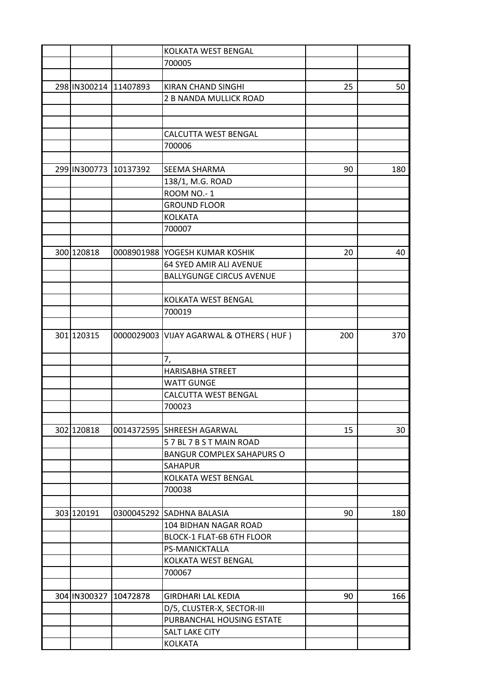|                       | KOLKATA WEST BENGAL                     |     |     |
|-----------------------|-----------------------------------------|-----|-----|
|                       | 700005                                  |     |     |
|                       |                                         |     |     |
| 298 IN300214 11407893 | KIRAN CHAND SINGHI                      | 25  | 50  |
|                       | 2 B NANDA MULLICK ROAD                  |     |     |
|                       |                                         |     |     |
|                       |                                         |     |     |
|                       | CALCUTTA WEST BENGAL                    |     |     |
|                       | 700006                                  |     |     |
|                       |                                         |     |     |
| 299 IN300773 10137392 | SEEMA SHARMA                            | 90  | 180 |
|                       | 138/1, M.G. ROAD                        |     |     |
|                       | ROOM NO.-1                              |     |     |
|                       | <b>GROUND FLOOR</b>                     |     |     |
|                       | <b>KOLKATA</b>                          |     |     |
|                       | 700007                                  |     |     |
|                       |                                         |     |     |
| 300 120818            | 0008901988 YOGESH KUMAR KOSHIK          | 20  | 40  |
|                       |                                         |     |     |
|                       | 64 SYED AMIR ALI AVENUE                 |     |     |
|                       | <b>BALLYGUNGE CIRCUS AVENUE</b>         |     |     |
|                       |                                         |     |     |
|                       | KOLKATA WEST BENGAL                     |     |     |
|                       | 700019                                  |     |     |
|                       |                                         |     |     |
| 301 120315            | 0000029003 VIJAY AGARWAL & OTHERS (HUF) | 200 | 370 |
|                       |                                         |     |     |
|                       | 7,                                      |     |     |
|                       | <b>HARISABHA STREET</b>                 |     |     |
|                       | <b>WATT GUNGE</b>                       |     |     |
|                       | CALCUTTA WEST BENGAL                    |     |     |
|                       | 700023                                  |     |     |
|                       |                                         |     |     |
| 302 120818            | 0014372595 SHREESH AGARWAL              | 15  | 30  |
|                       | 57 BL 7 B S T MAIN ROAD                 |     |     |
|                       | <b>BANGUR COMPLEX SAHAPURS O</b>        |     |     |
|                       | <b>SAHAPUR</b>                          |     |     |
|                       | KOLKATA WEST BENGAL                     |     |     |
|                       | 700038                                  |     |     |
|                       |                                         |     |     |
| 303 120191            | 0300045292 SADHNA BALASIA               | 90  | 180 |
|                       | 104 BIDHAN NAGAR ROAD                   |     |     |
|                       | BLOCK-1 FLAT-6B 6TH FLOOR               |     |     |
|                       | PS-MANICKTALLA                          |     |     |
|                       | KOLKATA WEST BENGAL                     |     |     |
|                       | 700067                                  |     |     |
|                       |                                         |     |     |
| 304 IN300327 10472878 | <b>GIRDHARI LAL KEDIA</b>               | 90  | 166 |
|                       | D/5, CLUSTER-X, SECTOR-III              |     |     |
|                       | PURBANCHAL HOUSING ESTATE               |     |     |
|                       | SALT LAKE CITY                          |     |     |
|                       | <b>KOLKATA</b>                          |     |     |
|                       |                                         |     |     |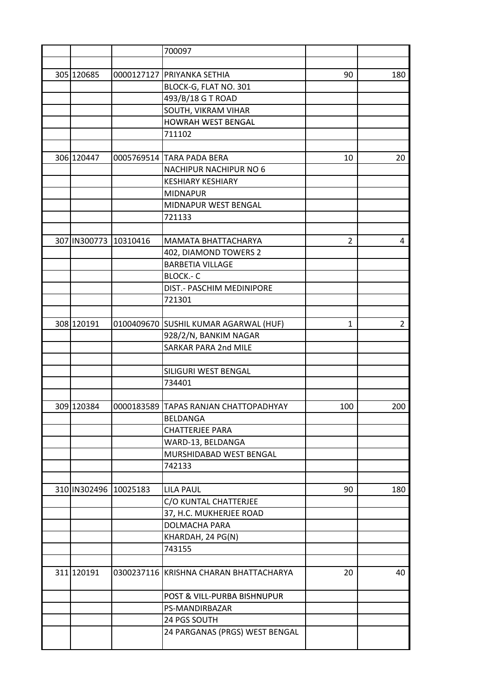|                       | 700097                                 |                |                |
|-----------------------|----------------------------------------|----------------|----------------|
|                       |                                        |                |                |
| 305 120685            | 0000127127 PRIYANKA SETHIA             | 90             | 180            |
|                       | BLOCK-G, FLAT NO. 301                  |                |                |
|                       | 493/B/18 G T ROAD                      |                |                |
|                       | SOUTH, VIKRAM VIHAR                    |                |                |
|                       | HOWRAH WEST BENGAL                     |                |                |
|                       | 711102                                 |                |                |
|                       |                                        |                |                |
| 306 120447            | 0005769514 TARA PADA BERA              | 10             | 20             |
|                       | <b>NACHIPUR NACHIPUR NO 6</b>          |                |                |
|                       | <b>KESHIARY KESHIARY</b>               |                |                |
|                       | <b>MIDNAPUR</b>                        |                |                |
|                       | MIDNAPUR WEST BENGAL                   |                |                |
|                       | 721133                                 |                |                |
|                       |                                        |                |                |
| 307 IN300773 10310416 | MAMATA BHATTACHARYA                    | $\overline{2}$ | 4              |
|                       | 402, DIAMOND TOWERS 2                  |                |                |
|                       | <b>BARBETIA VILLAGE</b>                |                |                |
|                       | <b>BLOCK .- C</b>                      |                |                |
|                       | DIST.- PASCHIM MEDINIPORE              |                |                |
|                       | 721301                                 |                |                |
|                       |                                        |                |                |
| 308 120191            | 0100409670 SUSHIL KUMAR AGARWAL (HUF)  |                | $\overline{2}$ |
|                       |                                        | 1              |                |
|                       | 928/2/N, BANKIM NAGAR                  |                |                |
|                       | <b>SARKAR PARA 2nd MILE</b>            |                |                |
|                       |                                        |                |                |
|                       | SILIGURI WEST BENGAL                   |                |                |
|                       | 734401                                 |                |                |
|                       |                                        |                |                |
| 309 120384            | 0000183589 TAPAS RANJAN CHATTOPADHYAY  | 100            | 200            |
|                       | <b>BELDANGA</b>                        |                |                |
|                       | <b>CHATTERJEE PARA</b>                 |                |                |
|                       | WARD-13, BELDANGA                      |                |                |
|                       | MURSHIDABAD WEST BENGAL                |                |                |
|                       | 742133                                 |                |                |
|                       |                                        |                |                |
| 310 IN302496 10025183 | <b>LILA PAUL</b>                       | 90             | 180            |
|                       | C/O KUNTAL CHATTERJEE                  |                |                |
|                       | 37, H.C. MUKHERJEE ROAD                |                |                |
|                       | DOLMACHA PARA                          |                |                |
|                       | KHARDAH, 24 PG(N)                      |                |                |
|                       | 743155                                 |                |                |
|                       |                                        |                |                |
| 311 120191            | 0300237116 KRISHNA CHARAN BHATTACHARYA | 20             | 40             |
|                       | POST & VILL-PURBA BISHNUPUR            |                |                |
|                       | PS-MANDIRBAZAR                         |                |                |
|                       | 24 PGS SOUTH                           |                |                |
|                       | 24 PARGANAS (PRGS) WEST BENGAL         |                |                |
|                       |                                        |                |                |